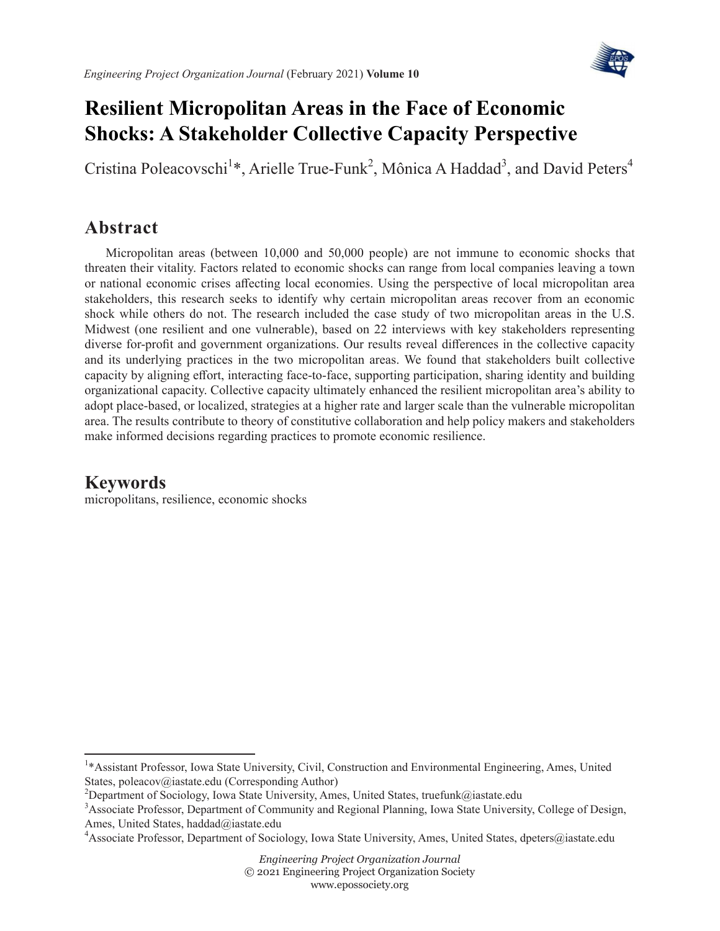

# **Resilient Micropolitan Areas in the Face of Economic Shocks: A Stakeholder Collective Capacity Perspective**

Cristina Poleacovschi<sup>1</sup>\*, Arielle True-Funk<sup>2</sup>, Mônica A Haddad<sup>3</sup>, and David Peters<sup>4</sup>

# **Abstract**

Micropolitan areas (between 10,000 and 50,000 people) are not immune to economic shocks that threaten their vitality. Factors related to economic shocks can range from local companies leaving a town or national economic crises affecting local economies. Using the perspective of local micropolitan area stakeholders, this research seeks to identify why certain micropolitan areas recover from an economic shock while others do not. The research included the case study of two micropolitan areas in the U.S. Midwest (one resilient and one vulnerable), based on 22 interviews with key stakeholders representing diverse for-profit and government organizations. Our results reveal differences in the collective capacity and its underlying practices in the two micropolitan areas. We found that stakeholders built collective capacity by aligning effort, interacting face-to-face, supporting participation, sharing identity and building organizational capacity. Collective capacity ultimately enhanced the resilient micropolitan area's ability to adopt place-based, or localized, strategies at a higher rate and larger scale than the vulnerable micropolitan area. The results contribute to theory of constitutive collaboration and help policy makers and stakeholders make informed decisions regarding practices to promote economic resilience.

## **Keywords**

micropolitans, resilience, economic shocks

<sup>&</sup>lt;sup>1</sup>\* Assistant Professor, Iowa State University, Civil, Construction and Environmental Engineering, Ames, United States, poleacov@iastate.edu (Corresponding Author)

<sup>&</sup>lt;sup>2</sup>Department of Sociology, Iowa State University, Ames, United States, truefunk@iastate.edu

<sup>&</sup>lt;sup>3</sup> Associate Professor, Department of Community and Regional Planning, Iowa State University, College of Design, Ames, United States, haddad@iastate.edu

<sup>4</sup> Associate Professor, Department of Sociology, Iowa State University, Ames, United States, dpeters@iastate.edu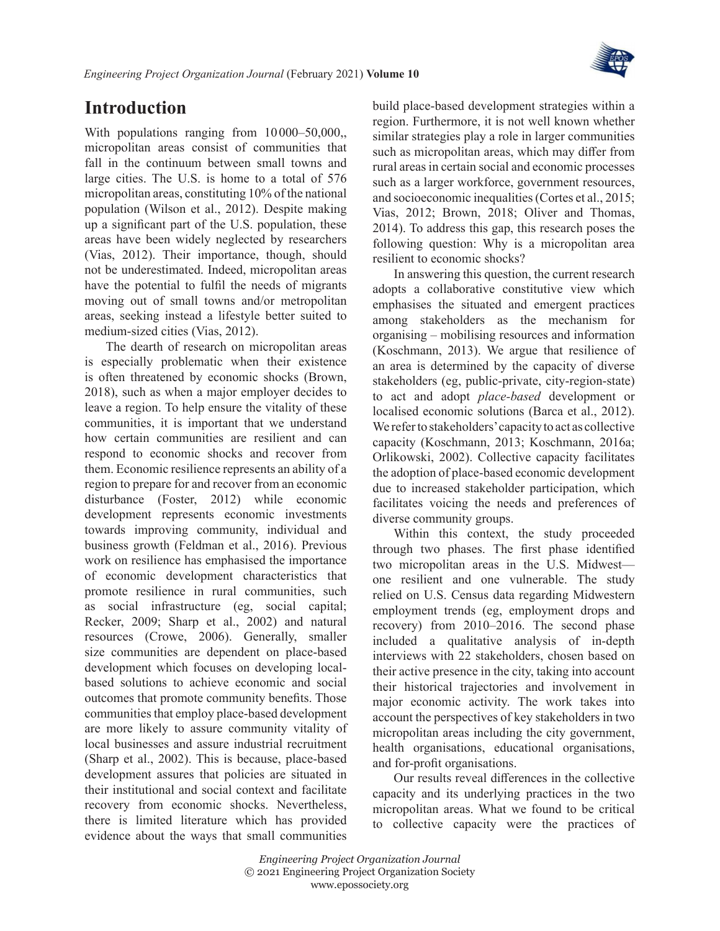

# **Introduction**

With populations ranging from  $10\,000-50,000$ , micropolitan areas consist of communities that fall in the continuum between small towns and large cities. The U.S. is home to a total of 576 micropolitan areas, constituting 10% of the national population ([Wilson et](#page-21-0) al., 2012). Despite making up a significant part of the U.S. population, these areas have been widely neglected by researchers ([Vias, 2012\)](#page-21-1). Their importance, though, should not be underestimated. Indeed, micropolitan areas have the potential to fulfil the needs of migrants moving out of small towns and/or metropolitan areas, seeking instead a lifestyle better suited to medium-sized cities ([Vias, 2012\)](#page-21-1).

The dearth of research on micropolitan areas is especially problematic when their existence is often threatened by economic shocks [\(Brown,](#page-18-0) [2018](#page-18-0)), such as when a major employer decides to leave a region. To help ensure the vitality of these communities, it is important that we understand how certain communities are resilient and can respond to economic shocks and recover from them. Economic resilience represents an ability of a region to prepare for and recover from an economic disturbance ([Foster, 2012](#page-19-0)) while economic development represents economic investments towards improving community, individual and business growth [\(Feldman et](#page-19-1) al., 2016). Previous work on resilience has emphasised the importance of economic development characteristics that promote resilience in rural communities, such as social infrastructure (eg, social capital; [Recker, 2009;](#page-20-0) Sharp et [al., 2002\)](#page-20-1) and natural resources [\(Crowe, 2006](#page-19-2)). Generally, smaller size communities are dependent on place-based development which focuses on developing localbased solutions to achieve economic and social outcomes that promote community benefits. Those communities that employ place-based development are more likely to assure community vitality of local businesses and assure industrial recruitment (Sharp et [al., 2002\)](#page-20-1). This is because, place-based development assures that policies are situated in their institutional and social context and facilitate recovery from economic shocks. Nevertheless, there is limited literature which has provided evidence about the ways that small communities

build place-based development strategies within a region. Furthermore, it is not well known whether similar strategies play a role in larger communities such as micropolitan areas, which may differ from rural areas in certain social and economic processes such as a larger workforce, government resources, and socioeconomic inequalities [\(Cortes et](#page-18-1) al., 2015; [Vias, 2012](#page-21-1); [Brown, 2018;](#page-18-0) [Oliver and Thomas,](#page-20-2) [2014](#page-20-2)). To address this gap, this research poses the following question: Why is a micropolitan area resilient to economic shocks?

In answering this question, the current research adopts a collaborative constitutive view which emphasises the situated and emergent practices among stakeholders as the mechanism for organising – mobilising resources and information ([Koschmann, 2013\)](#page-20-3). We argue that resilience of an area is determined by the capacity of diverse stakeholders (eg, public-private, city-region-state) to act and adopt *place-based* development or localised economic solutions (Barca et [al., 2012\)](#page-18-2). We refer to stakeholders' capacity to act as collective capacity ([Koschmann, 2013](#page-20-3); [Koschmann, 2016a;](#page-20-4) [Orlikowski, 2002\)](#page-20-5). Collective capacity facilitates the adoption of place-based economic development due to increased stakeholder participation, which facilitates voicing the needs and preferences of diverse community groups.

Within this context, the study proceeded through two phases. The first phase identified two micropolitan areas in the U.S. Midwest one resilient and one vulnerable. The study relied on U.S. Census data regarding Midwestern employment trends (eg, employment drops and recovery) from 2010–2016. The second phase included a qualitative analysis of in-depth interviews with 22 stakeholders, chosen based on their active presence in the city, taking into account their historical trajectories and involvement in major economic activity. The work takes into account the perspectives of key stakeholders in two micropolitan areas including the city government, health organisations, educational organisations, and for-profit organisations.

Our results reveal differences in the collective capacity and its underlying practices in the two micropolitan areas. What we found to be critical to collective capacity were the practices of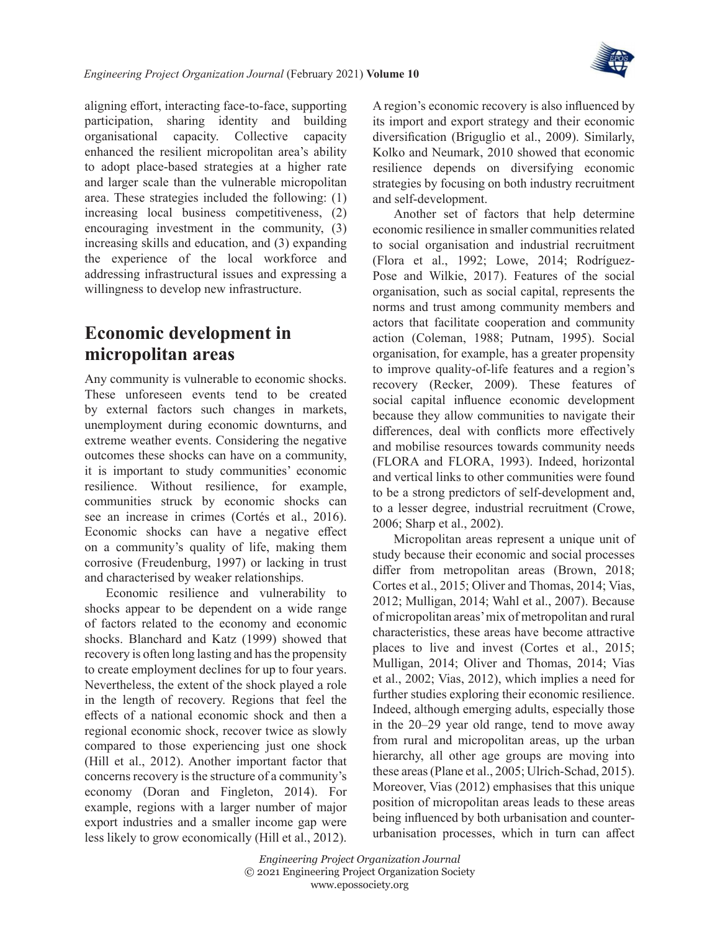

aligning effort, interacting face-to-face, supporting participation, sharing identity and building organisational capacity. Collective capacity enhanced the resilient micropolitan area's ability to adopt place-based strategies at a higher rate and larger scale than the vulnerable micropolitan area. These strategies included the following: (1) increasing local business competitiveness, (2) encouraging investment in the community, (3) increasing skills and education, and (3) expanding the experience of the local workforce and addressing infrastructural issues and expressing a willingness to develop new infrastructure.

# **Economic development in micropolitan areas**

Any community is vulnerable to economic shocks. These unforeseen events tend to be created by external factors such changes in markets, unemployment during economic downturns, and extreme weather events. Considering the negative outcomes these shocks can have on a community, it is important to study communities' economic resilience. Without resilience, for example, communities struck by economic shocks can see an increase in crimes ([Cortés et](#page-19-3) al., 2016). Economic shocks can have a negative effect on a community's quality of life, making them corrosive ([Freudenburg, 1997](#page-19-4)) or lacking in trust and characterised by weaker relationships.

Economic resilience and vulnerability to shocks appear to be dependent on a wide range of factors related to the economy and economic shocks. [Blanchard and Katz \(1999\)](#page-18-3) showed that recovery is often long lasting and has the propensity to create employment declines for up to four years. Nevertheless, the extent of the shock played a role in the length of recovery. Regions that feel the effects of a national economic shock and then a regional economic shock, recover twice as slowly compared to those experiencing just one shock (Hill et [al., 2012\)](#page-19-5). Another important factor that concerns recovery is the structure of a community's economy [\(Doran and Fingleton, 2014\)](#page-19-6). For example, regions with a larger number of major export industries and a smaller income gap were less likely to grow economically (Hill et [al., 2012\)](#page-19-5).

A region's economic recovery is also influenced by its import and export strategy and their economic diversification ([Briguglio et](#page-18-4) al., 2009). Similarly, [Kolko and Neumark, 2010](#page-19-7) showed that economic resilience depends on diversifying economic strategies by focusing on both industry recruitment and self-development.

Another set of factors that help determine economic resilience in smaller communities related to social organisation and industrial recruitment (Flora et [al., 1992;](#page-19-8) [Lowe, 2014;](#page-20-6) [Rodríguez-](#page-20-7)[Pose and Wilkie, 2017\)](#page-20-7). Features of the social organisation, such as social capital, represents the norms and trust among community members and actors that facilitate cooperation and community action [\(Coleman, 1988](#page-18-5); [Putnam, 1995\)](#page-20-8). Social organisation, for example, has a greater propensity to improve quality-of-life features and a region's recovery ([Recker, 2009](#page-20-0)). These features of social capital influence economic development because they allow communities to navigate their differences, deal with conflicts more effectively and mobilise resources towards community needs ([FLORA and FLORA, 1993\)](#page-19-9). Indeed, horizontal and vertical links to other communities were found to be a strong predictors of self-development and, to a lesser degree, industrial recruitment ([Crowe,](#page-19-2) [2006;](#page-19-2) Sharp et [al., 2002](#page-20-1)).

Micropolitan areas represent a unique unit of study because their economic and social processes differ from metropolitan areas ([Brown, 2018;](#page-18-0) [Cortes et](#page-18-1) al., 2015; [Oliver and Thomas, 2014;](#page-20-2) [Vias,](#page-21-1)  [2012;](#page-21-1) [Mulligan, 2014](#page-20-9); Wahl et [al., 2007\)](#page-21-2). Because of micropolitan areas' mix of metropolitan and rural characteristics, these areas have become attractive places to live and invest [\(Cortes et](#page-18-1) al., 2015; [Mulligan, 2014;](#page-20-9) [Oliver and Thomas, 2014;](#page-20-2) [Vias](#page-21-3)  et [al., 2002;](#page-21-3) [Vias, 2012](#page-21-1)), which implies a need for further studies exploring their economic resilience. Indeed, although emerging adults, especially those in the 20–29 year old range, tend to move away from rural and micropolitan areas, up the urban hierarchy, all other age groups are moving into these areas (Plane et [al., 2005](#page-20-10); [Ulrich-Schad, 2015\)](#page-21-4). Moreover, [Vias \(2012\)](#page-21-1) emphasises that this unique position of micropolitan areas leads to these areas being influenced by both urbanisation and counterurbanisation processes, which in turn can affect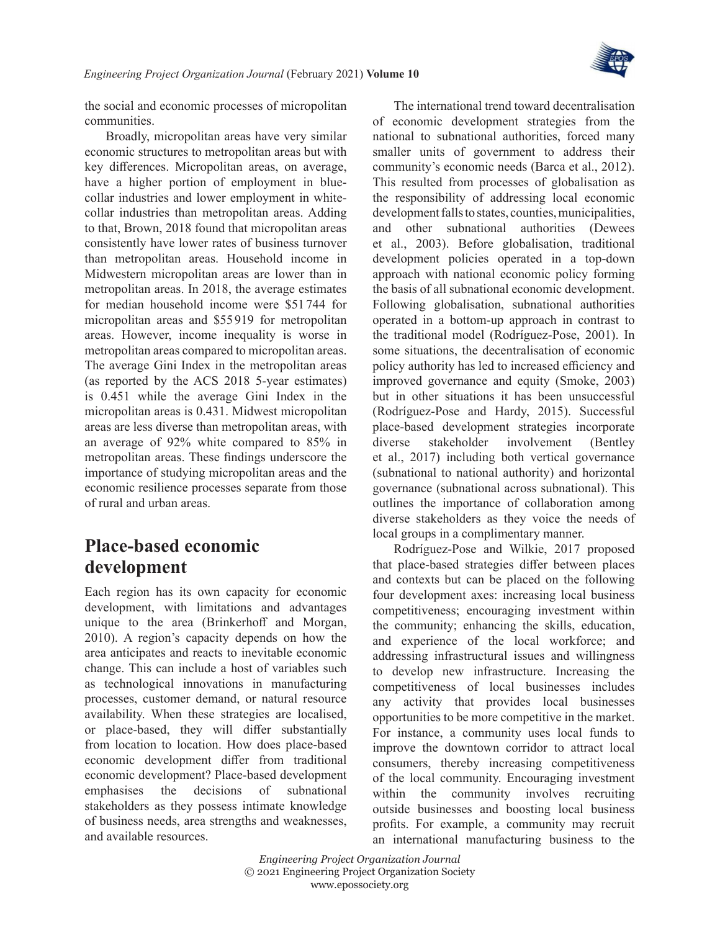

the social and economic processes of micropolitan communities.

Broadly, micropolitan areas have very similar economic structures to metropolitan areas but with key differences. Micropolitan areas, on average, have a higher portion of employment in bluecollar industries and lower employment in whitecollar industries than metropolitan areas. Adding to that, [Brown, 2018](#page-18-0) found that micropolitan areas consistently have lower rates of business turnover than metropolitan areas. Household income in Midwestern micropolitan areas are lower than in metropolitan areas. In 2018, the average estimates for median household income were \$51 744 for micropolitan areas and \$55919 for metropolitan areas. However, income inequality is worse in metropolitan areas compared to micropolitan areas. The average Gini Index in the metropolitan areas (as reported by the ACS 2018 5-year estimates) is 0.451 while the average Gini Index in the micropolitan areas is 0.431. Midwest micropolitan areas are less diverse than metropolitan areas, with an average of 92% white compared to 85% in metropolitan areas. These findings underscore the importance of studying micropolitan areas and the economic resilience processes separate from those of rural and urban areas.

## **Place-based economic development**

Each region has its own capacity for economic development, with limitations and advantages unique to the area ([Brinkerhoff and Morgan,](#page-18-6) [2010](#page-18-6)). A region's capacity depends on how the area anticipates and reacts to inevitable economic change. This can include a host of variables such as technological innovations in manufacturing processes, customer demand, or natural resource availability. When these strategies are localised, or place-based, they will differ substantially from location to location. How does place-based economic development differ from traditional economic development? Place-based development emphasises the decisions of subnational stakeholders as they possess intimate knowledge of business needs, area strengths and weaknesses, and available resources.

The international trend toward decentralisation of economic development strategies from the national to subnational authorities, forced many smaller units of government to address their community's economic needs (Barca et [al., 2012\)](#page-18-2). This resulted from processes of globalisation as the responsibility of addressing local economic development falls to states, counties, municipalities, and other subnational authorities [\(Dewees](#page-19-10) et [al., 2003\)](#page-19-10). Before globalisation, traditional development policies operated in a top-down approach with national economic policy forming the basis of all subnational economic development. Following globalisation, subnational authorities operated in a bottom-up approach in contrast to the traditional model [\(Rodríguez-Pose, 2001\)](#page-20-11). In some situations, the decentralisation of economic policy authority has led to increased efficiency and improved governance and equity [\(Smoke, 2003](#page-21-5)) but in other situations it has been unsuccessful ([Rodríguez-Pose and Hardy, 2015](#page-20-12)). Successful place-based development strategies incorporate diverse stakeholder involvement ([Bentley](#page-18-7) et [al., 2017\)](#page-18-7) including both vertical governance (subnational to national authority) and horizontal governance (subnational across subnational). This outlines the importance of collaboration among diverse stakeholders as they voice the needs of local groups in a complimentary manner.

[Rodríguez-Pose and Wilkie, 2017](#page-20-7) proposed that place-based strategies differ between places and contexts but can be placed on the following four development axes: increasing local business competitiveness; encouraging investment within the community; enhancing the skills, education, and experience of the local workforce; and addressing infrastructural issues and willingness to develop new infrastructure. Increasing the competitiveness of local businesses includes any activity that provides local businesses opportunities to be more competitive in the market. For instance, a community uses local funds to improve the downtown corridor to attract local consumers, thereby increasing competitiveness of the local community. Encouraging investment within the community involves recruiting outside businesses and boosting local business profits. For example, a community may recruit an international manufacturing business to the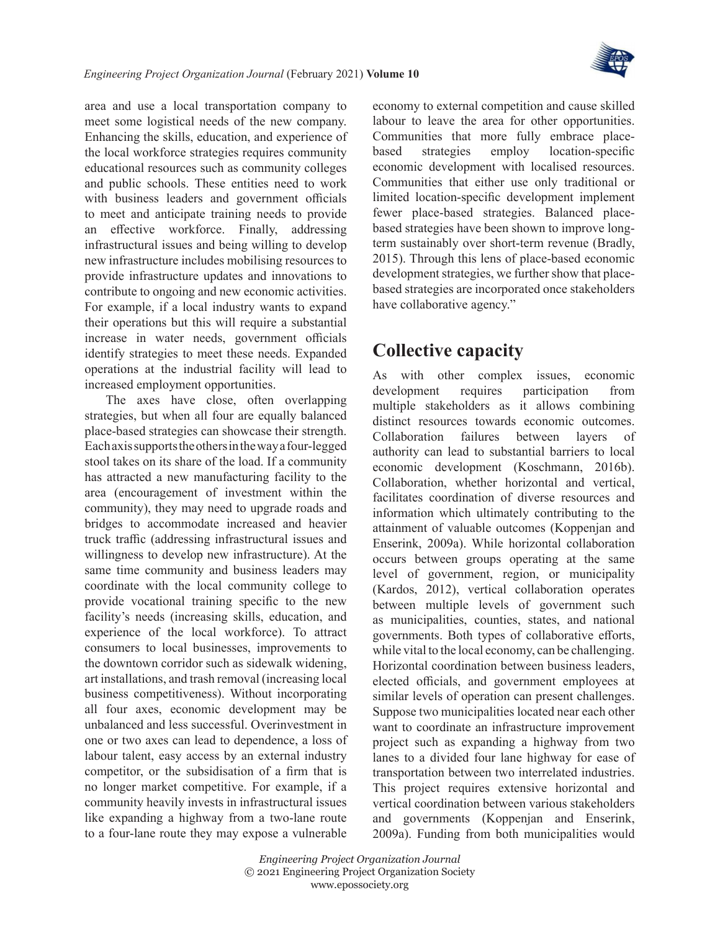

area and use a local transportation company to meet some logistical needs of the new company. Enhancing the skills, education, and experience of the local workforce strategies requires community educational resources such as community colleges and public schools. These entities need to work with business leaders and government officials to meet and anticipate training needs to provide an effective workforce. Finally, addressing infrastructural issues and being willing to develop new infrastructure includes mobilising resources to provide infrastructure updates and innovations to contribute to ongoing and new economic activities. For example, if a local industry wants to expand their operations but this will require a substantial increase in water needs, government officials identify strategies to meet these needs. Expanded operations at the industrial facility will lead to increased employment opportunities.

The axes have close, often overlapping strategies, but when all four are equally balanced place-based strategies can showcase their strength. Each axis supports the others in the way a four-legged stool takes on its share of the load. If a community has attracted a new manufacturing facility to the area (encouragement of investment within the community), they may need to upgrade roads and bridges to accommodate increased and heavier truck traffic (addressing infrastructural issues and willingness to develop new infrastructure). At the same time community and business leaders may coordinate with the local community college to provide vocational training specific to the new facility's needs (increasing skills, education, and experience of the local workforce). To attract consumers to local businesses, improvements to the downtown corridor such as sidewalk widening, art installations, and trash removal (increasing local business competitiveness). Without incorporating all four axes, economic development may be unbalanced and less successful. Overinvestment in one or two axes can lead to dependence, a loss of labour talent, easy access by an external industry competitor, or the subsidisation of a firm that is no longer market competitive. For example, if a community heavily invests in infrastructural issues like expanding a highway from a two-lane route to a four-lane route they may expose a vulnerable

economy to external competition and cause skilled labour to leave the area for other opportunities. Communities that more fully embrace placebased strategies employ location-specific economic development with localised resources. Communities that either use only traditional or limited location-specific development implement fewer place-based strategies. Balanced placebased strategies have been shown to improve longterm sustainably over short-term revenue [\(Bradly,](#page-18-8)  [2015](#page-18-8)). Through this lens of place-based economic development strategies, we further show that placebased strategies are incorporated once stakeholders have collaborative agency."

# **Collective capacity**

As with other complex issues, economic development requires participation from multiple stakeholders as it allows combining distinct resources towards economic outcomes. Collaboration failures between layers of authority can lead to substantial barriers to local economic development ([Koschmann, 2016b\)](#page-20-13). Collaboration, whether horizontal and vertical, facilitates coordination of diverse resources and information which ultimately contributing to the attainment of valuable outcomes ([Koppenjan and](#page-20-14) [Enserink, 2009a](#page-20-14)). While horizontal collaboration occurs between groups operating at the same level of government, region, or municipality ([Kardos, 2012](#page-19-11)), vertical collaboration operates between multiple levels of government such as municipalities, counties, states, and national governments. Both types of collaborative efforts, while vital to the local economy, can be challenging. Horizontal coordination between business leaders, elected officials, and government employees at similar levels of operation can present challenges. Suppose two municipalities located near each other want to coordinate an infrastructure improvement project such as expanding a highway from two lanes to a divided four lane highway for ease of transportation between two interrelated industries. This project requires extensive horizontal and vertical coordination between various stakeholders and governments ([Koppenjan and Enserink,](#page-20-14) [2009a\)](#page-20-14). Funding from both municipalities would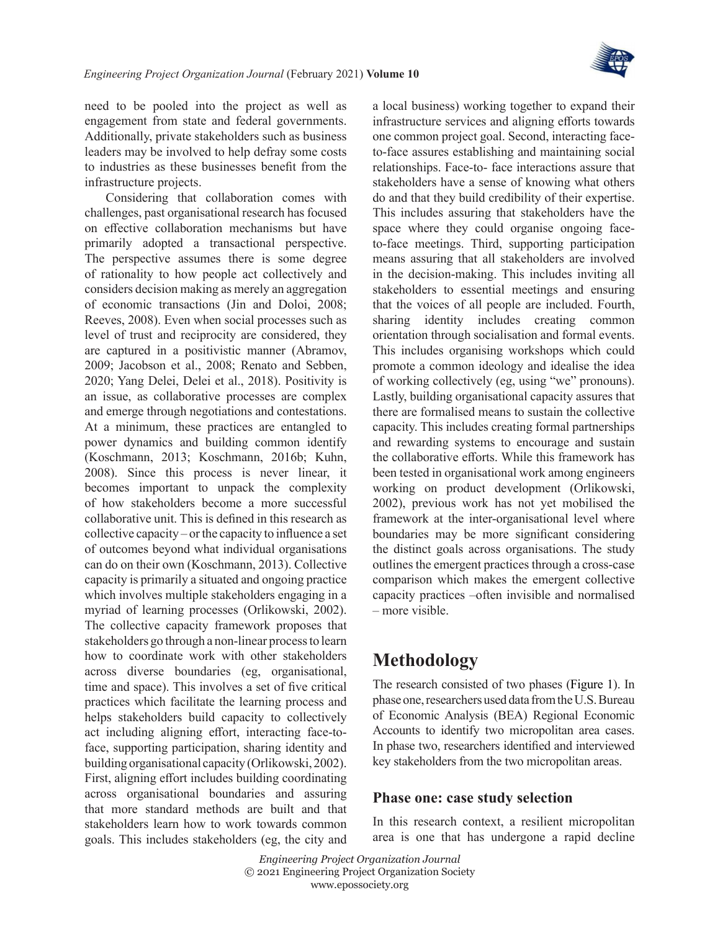

need to be pooled into the project as well as engagement from state and federal governments. Additionally, private stakeholders such as business leaders may be involved to help defray some costs to industries as these businesses benefit from the infrastructure projects.

Considering that collaboration comes with challenges, past organisational research has focused on effective collaboration mechanisms but have primarily adopted a transactional perspective. The perspective assumes there is some degree of rationality to how people act collectively and considers decision making as merely an aggregation of economic transactions ([Jin and Doloi, 2008;](#page-19-12) [Reeves, 2008\)](#page-20-15). Even when social processes such as level of trust and reciprocity are considered, they are captured in a positivistic manner ([Abramov,](#page-18-9) [2009;](#page-18-9) [Jacobson et](#page-19-13) al., 2008; [Renato and Sebben,](#page-20-16) [2020;](#page-20-16) Yang Delei, Delei et [al., 2018\)](#page-19-14). Positivity is an issue, as collaborative processes are complex and emerge through negotiations and contestations. At a minimum, these practices are entangled to power dynamics and building common identify ([Koschmann, 2013](#page-20-3); [Koschmann, 2016b](#page-20-13); [Kuhn,](#page-20-17) [2008\)](#page-20-17). Since this process is never linear, it becomes important to unpack the complexity of how stakeholders become a more successful collaborative unit. This is defined in this research as collective capacity – or the capacity to influence a set of outcomes beyond what individual organisations can do on their own ([Koschmann, 2013\)](#page-20-3). Collective capacity is primarily a situated and ongoing practice which involves multiple stakeholders engaging in a myriad of learning processes ([Orlikowski, 2002\)](#page-20-5). The collective capacity framework proposes that stakeholders go through a non-linear process to learn how to coordinate work with other stakeholders across diverse boundaries (eg, organisational, time and space). This involves a set of five critical practices which facilitate the learning process and helps stakeholders build capacity to collectively act including aligning effort, interacting face-toface, supporting participation, sharing identity and building organisational capacity ([Orlikowski, 2002\)](#page-20-5). First, aligning effort includes building coordinating across organisational boundaries and assuring that more standard methods are built and that stakeholders learn how to work towards common goals. This includes stakeholders (eg, the city and a local business) working together to expand their infrastructure services and aligning efforts towards one common project goal. Second, interacting faceto-face assures establishing and maintaining social relationships. Face-to- face interactions assure that stakeholders have a sense of knowing what others do and that they build credibility of their expertise. This includes assuring that stakeholders have the space where they could organise ongoing faceto-face meetings. Third, supporting participation means assuring that all stakeholders are involved in the decision-making. This includes inviting all stakeholders to essential meetings and ensuring that the voices of all people are included. Fourth, sharing identity includes creating common orientation through socialisation and formal events. This includes organising workshops which could promote a common ideology and idealise the idea of working collectively (eg, using "we" pronouns). Lastly, building organisational capacity assures that there are formalised means to sustain the collective capacity. This includes creating formal partnerships and rewarding systems to encourage and sustain the collaborative efforts. While this framework has been tested in organisational work among engineers working on product development [\(Orlikowski,](#page-20-5) [2002\)](#page-20-5), previous work has not yet mobilised the framework at the inter-organisational level where boundaries may be more significant considering the distinct goals across organisations. The study outlines the emergent practices through a cross-case comparison which makes the emergent collective capacity practices –often invisible and normalised – more visible.

## **Methodology**

The research consisted of two phases [\(Figure](#page-6-0) 1). In phase one, researchers used data from the U.S. Bureau of Economic Analysis (BEA) Regional Economic Accounts to identify two micropolitan area cases. In phase two, researchers identified and interviewed key stakeholders from the two micropolitan areas.

#### **Phase one: case study selection**

In this research context, a resilient micropolitan area is one that has undergone a rapid decline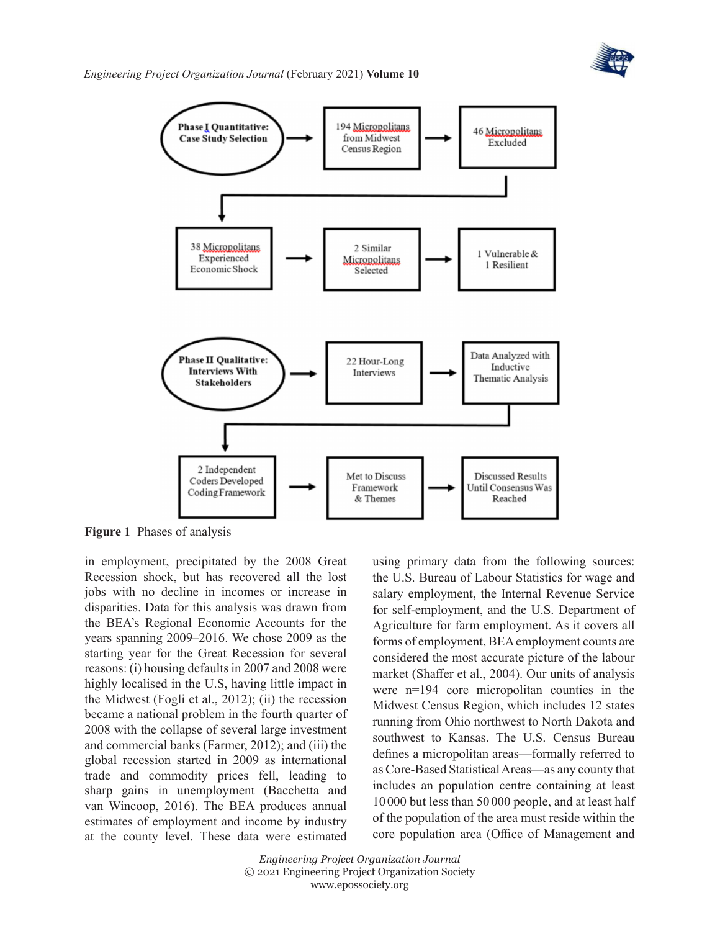

*Engineering Project Organization Journal* (February 2021) **Volume 10**



**Figure 1** Phases of analysis

in employment, precipitated by the 2008 Great Recession shock, but has recovered all the lost jobs with no decline in incomes or increase in disparities. Data for this analysis was drawn from the BEA's Regional Economic Accounts for the years spanning 2009–2016. We chose 2009 as the starting year for the Great Recession for several reasons: (i) housing defaults in 2007 and 2008 were highly localised in the U.S, having little impact in the Midwest (Fogli et [al., 2012\)](#page-19-15); (ii) the recession became a national problem in the fourth quarter of 2008 with the collapse of several large investment and commercial banks ([Farmer, 2012](#page-19-16)); and (iii) the global recession started in 2009 as international trade and commodity prices fell, leading to sharp gains in unemployment [\(Bacchetta and](#page-18-10) [van Wincoop, 2016\)](#page-18-10). The BEA produces annual estimates of employment and income by industry at the county level. These data were estimated

<span id="page-6-0"></span>using primary data from the following sources: the U.S. Bureau of Labour Statistics for wage and salary employment, the Internal Revenue Service for self-employment, and the U.S. Department of Agriculture for farm employment. As it covers all forms of employment, BEA employment counts are considered the most accurate picture of the labour market [\(Shaffer et](#page-20-18) al., 2004). Our units of analysis were n=194 core micropolitan counties in the Midwest Census Region, which includes 12 states running from Ohio northwest to North Dakota and southwest to Kansas. The U.S. Census Bureau defines a micropolitan areas—formally referred to as Core-Based Statistical Areas—as any county that includes an population centre containing at least 10000 but less than 50 000 people, and at least half of the population of the area must reside within the core population area ([Office of Management and](#page-20-19)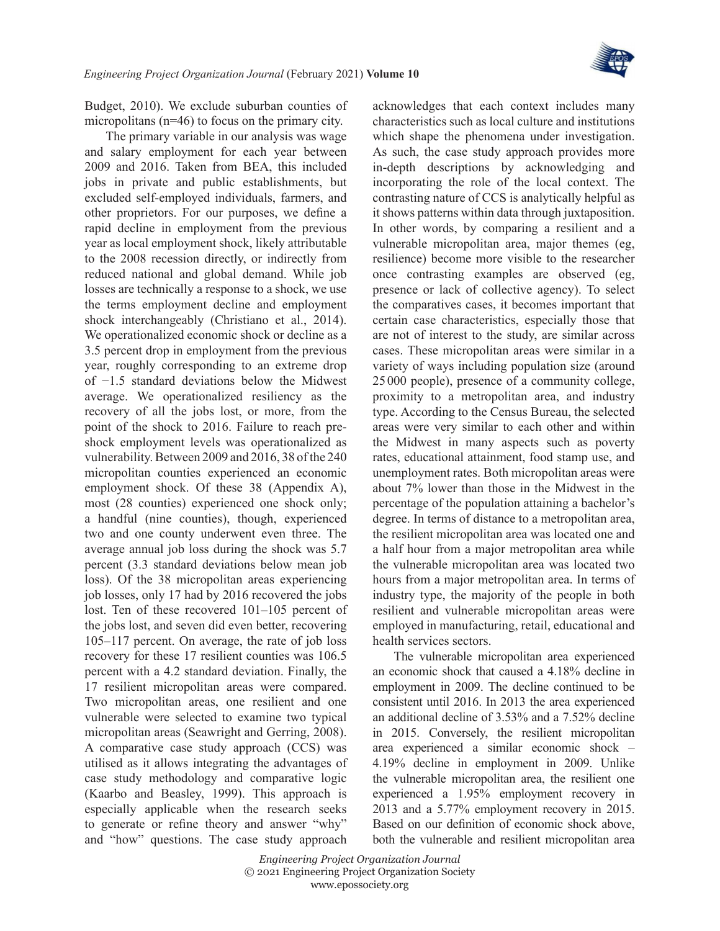

[Budget, 2010\)](#page-20-19). We exclude suburban counties of micropolitans (n=46) to focus on the primary city.

The primary variable in our analysis was wage and salary employment for each year between 2009 and 2016. Taken from BEA, this included jobs in private and public establishments, but excluded self-employed individuals, farmers, and other proprietors. For our purposes, we define a rapid decline in employment from the previous year as local employment shock, likely attributable to the 2008 recession directly, or indirectly from reduced national and global demand. While job losses are technically a response to a shock, we use the terms employment decline and employment shock interchangeably ([Christiano et](#page-18-11) al., 2014). We operationalized economic shock or decline as a 3.5 percent drop in employment from the previous year, roughly corresponding to an extreme drop of −1.5 standard deviations below the Midwest average. We operationalized resiliency as the recovery of all the jobs lost, or more, from the point of the shock to 2016. Failure to reach preshock employment levels was operationalized as vulnerability. Between 2009 and 2016, 38 of the 240 micropolitan counties experienced an economic employment shock. Of these 38 (Appendix A), most (28 counties) experienced one shock only; a handful (nine counties), though, experienced two and one county underwent even three. The average annual job loss during the shock was 5.7 percent (3.3 standard deviations below mean job loss). Of the 38 micropolitan areas experiencing job losses, only 17 had by 2016 recovered the jobs lost. Ten of these recovered 101–105 percent of the jobs lost, and seven did even better, recovering 105–117 percent. On average, the rate of job loss recovery for these 17 resilient counties was 106.5 percent with a 4.2 standard deviation. Finally, the 17 resilient micropolitan areas were compared. Two micropolitan areas, one resilient and one vulnerable were selected to examine two typical micropolitan areas [\(Seawright and Gerring, 2008\)](#page-20-20). A comparative case study approach (CCS) was utilised as it allows integrating the advantages of case study methodology and comparative logic ([Kaarbo and Beasley, 1999](#page-19-17)). This approach is especially applicable when the research seeks to generate or refine theory and answer "why" and "how" questions. The case study approach

acknowledges that each context includes many characteristics such as local culture and institutions which shape the phenomena under investigation. As such, the case study approach provides more in-depth descriptions by acknowledging and incorporating the role of the local context. The contrasting nature of CCS is analytically helpful as it shows patterns within data through juxtaposition. In other words, by comparing a resilient and a vulnerable micropolitan area, major themes (eg, resilience) become more visible to the researcher once contrasting examples are observed (eg, presence or lack of collective agency). To select the comparatives cases, it becomes important that certain case characteristics, especially those that are not of interest to the study, are similar across cases. These micropolitan areas were similar in a variety of ways including population size (around 25 000 people), presence of a community college, proximity to a metropolitan area, and industry type. According to the Census Bureau, the selected areas were very similar to each other and within the Midwest in many aspects such as poverty rates, educational attainment, food stamp use, and unemployment rates. Both micropolitan areas were about 7% lower than those in the Midwest in the percentage of the population attaining a bachelor's degree. In terms of distance to a metropolitan area, the resilient micropolitan area was located one and a half hour from a major metropolitan area while the vulnerable micropolitan area was located two hours from a major metropolitan area. In terms of industry type, the majority of the people in both resilient and vulnerable micropolitan areas were employed in manufacturing, retail, educational and health services sectors.

The vulnerable micropolitan area experienced an economic shock that caused a 4.18% decline in employment in 2009. The decline continued to be consistent until 2016. In 2013 the area experienced an additional decline of 3.53% and a 7.52% decline in 2015. Conversely, the resilient micropolitan area experienced a similar economic shock – 4.19% decline in employment in 2009. Unlike the vulnerable micropolitan area, the resilient one experienced a 1.95% employment recovery in 2013 and a 5.77% employment recovery in 2015. Based on our definition of economic shock above, both the vulnerable and resilient micropolitan area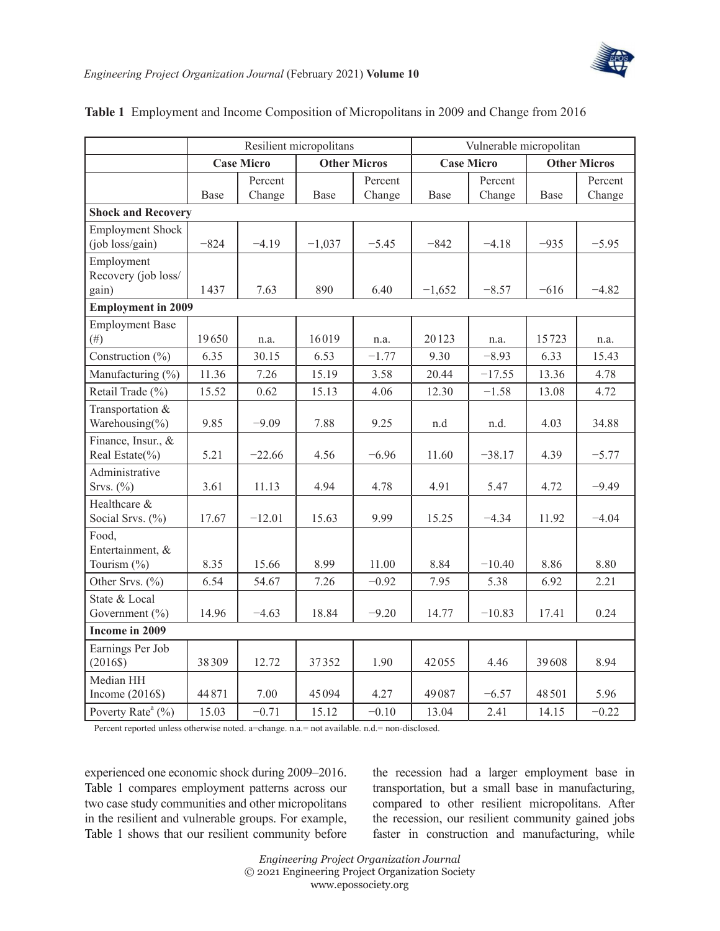

|                                    | Resilient micropolitans |               |                     |                 | Vulnerable micropolitan |                 |                     |               |
|------------------------------------|-------------------------|---------------|---------------------|-----------------|-------------------------|-----------------|---------------------|---------------|
|                                    | <b>Case Micro</b>       |               | <b>Other Micros</b> |                 | <b>Case Micro</b>       |                 | <b>Other Micros</b> |               |
|                                    |                         | Percent       |                     | Percent         |                         | Percent         |                     | Percent       |
|                                    | Base                    | Change        | Base                | Change          | Base                    | Change          | Base                | Change        |
| <b>Shock and Recovery</b>          |                         |               |                     |                 |                         |                 |                     |               |
| <b>Employment Shock</b>            |                         |               |                     |                 |                         |                 |                     |               |
| (job loss/gain)                    | $-824$                  | $-4.19$       | $-1,037$            | $-5.45$         | $-842$                  | $-4.18$         | $-935$              | $-5.95$       |
| Employment                         |                         |               |                     |                 |                         |                 |                     |               |
| Recovery (job loss/                |                         |               |                     |                 |                         |                 |                     |               |
| gain)                              | 1437                    | 7.63          | 890                 | 6.40            | $-1,652$                | $-8.57$         | $-616$              | $-4.82$       |
| <b>Employment in 2009</b>          |                         |               |                     |                 |                         |                 |                     |               |
| <b>Employment Base</b><br>$(\#)$   | 19650                   |               | 16019               |                 | 20123                   |                 | 15723               |               |
| Construction (%)                   | 6.35                    | n.a.<br>30.15 | 6.53                | n.a.<br>$-1.77$ | 9.30                    | n.a.<br>$-8.93$ | 6.33                | n.a.<br>15.43 |
|                                    |                         |               |                     |                 |                         |                 |                     |               |
| Manufacturing (%)                  | 11.36                   | 7.26          | 15.19               | 3.58            | 20.44                   | $-17.55$        | 13.36               | 4.78          |
| Retail Trade (%)                   | 15.52                   | 0.62          | 15.13               | 4.06            | 12.30                   | $-1.58$         | 13.08               | 4.72          |
| Transportation &<br>Warehousing(%) | 9.85                    | $-9.09$       | 7.88                | 9.25            | n.d                     | n.d.            | 4.03                | 34.88         |
| Finance, Insur., &                 |                         |               |                     |                 |                         |                 |                     |               |
| Real Estate(%)                     | 5.21                    | $-22.66$      | 4.56                | $-6.96$         | 11.60                   | $-38.17$        | 4.39                | $-5.77$       |
| Administrative                     |                         |               |                     |                 |                         |                 |                     |               |
| Srvs. $(\%)$                       | 3.61                    | 11.13         | 4.94                | 4.78            | 4.91                    | 5.47            | 4.72                | $-9.49$       |
| Healthcare &                       |                         |               |                     |                 |                         |                 |                     |               |
| Social Srvs. (%)                   | 17.67                   | $-12.01$      | 15.63               | 9.99            | 15.25                   | $-4.34$         | 11.92               | $-4.04$       |
| Food,                              |                         |               |                     |                 |                         |                 |                     |               |
| Entertainment, &<br>Tourism (%)    | 8.35                    | 15.66         | 8.99                | 11.00           | 8.84                    | $-10.40$        | 8.86                | 8.80          |
| Other Srvs. (%)                    | 6.54                    | 54.67         | 7.26                | $-0.92$         | 7.95                    | 5.38            | 6.92                | 2.21          |
| State & Local                      |                         |               |                     |                 |                         |                 |                     |               |
| Government $(\% )$                 | 14.96                   | $-4.63$       | 18.84               | $-9.20$         | 14.77                   | $-10.83$        | 17.41               | 0.24          |
| Income in 2009                     |                         |               |                     |                 |                         |                 |                     |               |
| Earnings Per Job                   |                         |               |                     |                 |                         |                 |                     |               |
| $(2016\$                           | 38309                   | 12.72         | 37352               | 1.90            | 42055                   | 4.46            | 39608               | 8.94          |
| Median HH                          |                         |               |                     |                 |                         |                 |                     |               |
| Income $(2016\$                    | 44871                   | 7.00          | 45094               | 4.27            | 49087                   | $-6.57$         | 48501               | 5.96          |
| Poverty Rate <sup>a</sup> (%)      | 15.03                   | $-0.71$       | 15.12               | $-0.10$         | 13.04                   | 2.41            | 14.15               | $-0.22$       |

#### <span id="page-8-0"></span>**Table 1** Employment and Income Composition of Micropolitans in 2009 and Change from 2016

Percent reported unless otherwise noted. a=change. n.a.= not available. n.d.= non-disclosed.

experienced one economic shock during 2009–2016. [Table](#page-8-0) 1 compares employment patterns across our two case study communities and other micropolitans in the resilient and vulnerable groups. For example, [Table](#page-8-0) 1 shows that our resilient community before

the recession had a larger employment base in transportation, but a small base in manufacturing, compared to other resilient micropolitans. After the recession, our resilient community gained jobs faster in construction and manufacturing, while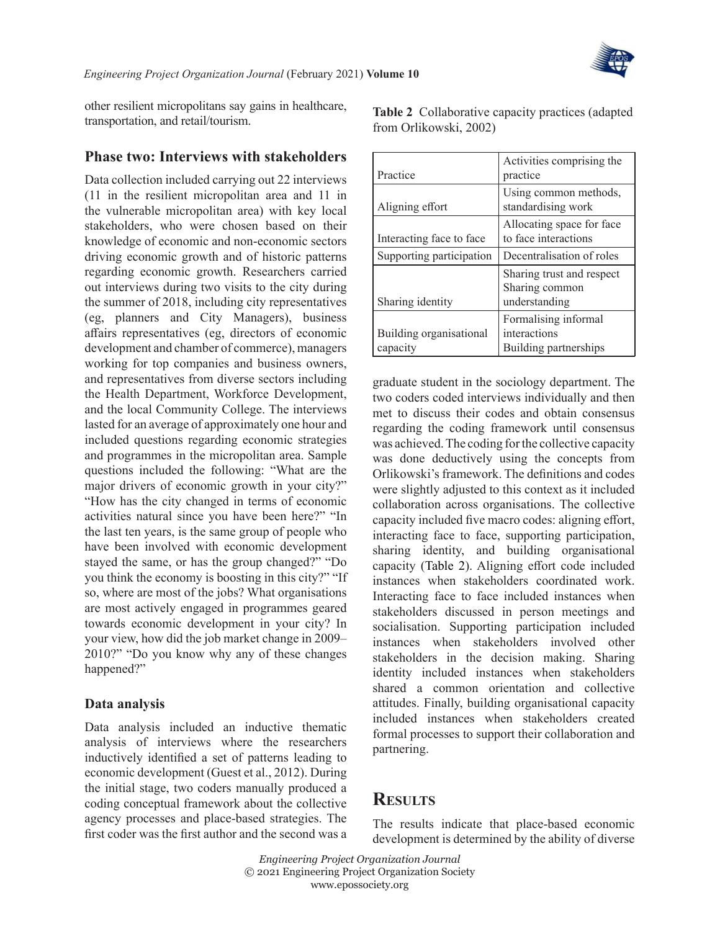other resilient micropolitans say gains in healthcare, transportation, and retail/tourism.

#### **Phase two: Interviews with stakeholders**

Data collection included carrying out 22 interviews (11 in the resilient micropolitan area and 11 in the vulnerable micropolitan area) with key local stakeholders, who were chosen based on their knowledge of economic and non-economic sectors driving economic growth and of historic patterns regarding economic growth. Researchers carried out interviews during two visits to the city during the summer of 2018, including city representatives (eg, planners and City Managers), business affairs representatives (eg, directors of economic development and chamber of commerce), managers working for top companies and business owners, and representatives from diverse sectors including the Health Department, Workforce Development, and the local Community College. The interviews lasted for an average of approximately one hour and included questions regarding economic strategies and programmes in the micropolitan area. Sample questions included the following: "What are the major drivers of economic growth in your city?" "How has the city changed in terms of economic activities natural since you have been here?" "In the last ten years, is the same group of people who have been involved with economic development stayed the same, or has the group changed?" "Do you think the economy is boosting in this city?" "If so, where are most of the jobs? What organisations are most actively engaged in programmes geared towards economic development in your city? In your view, how did the job market change in 2009– 2010?" "Do you know why any of these changes happened?"

#### **Data analysis**

Data analysis included an inductive thematic analysis of interviews where the researchers inductively identified a set of patterns leading to economic development (Guest et [al., 2012](#page-19-18)). During the initial stage, two coders manually produced a coding conceptual framework about the collective agency processes and place-based strategies. The first coder was the first author and the second was a

|                                     | Activities comprising the                                    |
|-------------------------------------|--------------------------------------------------------------|
| Practice                            | practice                                                     |
| Aligning effort                     | Using common methods,<br>standardising work                  |
| Interacting face to face            | Allocating space for face<br>to face interactions            |
| Supporting participation            | Decentralisation of roles                                    |
| Sharing identity                    | Sharing trust and respect<br>Sharing common<br>understanding |
|                                     | Formalising informal                                         |
| Building organisational<br>capacity | interactions<br>Building partnerships                        |

<span id="page-9-0"></span>**Table 2** Collaborative capacity practices (adapted

from [Orlikowski, 2002](#page-20-5))

graduate student in the sociology department. The two coders coded interviews individually and then met to discuss their codes and obtain consensus regarding the coding framework until consensus was achieved. The coding for the collective capacity was done deductively using the concepts from Orlikowski's framework. The definitions and codes were slightly adjusted to this context as it included collaboration across organisations. The collective capacity included five macro codes: aligning effort, interacting face to face, supporting participation, sharing identity, and building organisational capacity ([Table](#page-9-0) 2). Aligning effort code included instances when stakeholders coordinated work. Interacting face to face included instances when stakeholders discussed in person meetings and socialisation. Supporting participation included instances when stakeholders involved other stakeholders in the decision making. Sharing identity included instances when stakeholders shared a common orientation and collective attitudes. Finally, building organisational capacity included instances when stakeholders created formal processes to support their collaboration and partnering.

### **Results**

The results indicate that place-based economic development is determined by the ability of diverse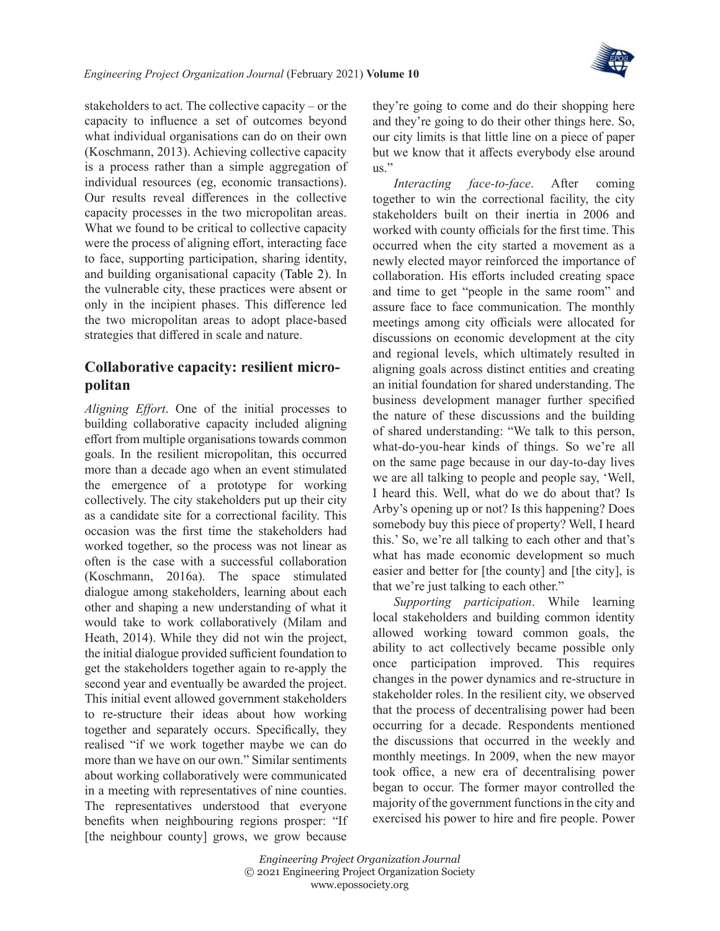

stakeholders to act. The collective capacity – or the capacity to influence a set of outcomes beyond what individual organisations can do on their own ([Koschmann, 2013\)](#page-20-3). Achieving collective capacity is a process rather than a simple aggregation of individual resources (eg, economic transactions). Our results reveal differences in the collective capacity processes in the two micropolitan areas. What we found to be critical to collective capacity were the process of aligning effort, interacting face to face, supporting participation, sharing identity, and building organisational capacity [\(Table](#page-9-0) 2). In the vulnerable city, these practices were absent or only in the incipient phases. This difference led the two micropolitan areas to adopt place-based strategies that differed in scale and nature.

### **Collaborative capacity: resilient micropolitan**

*Aligning Effort*. One of the initial processes to building collaborative capacity included aligning effort from multiple organisations towards common goals. In the resilient micropolitan, this occurred more than a decade ago when an event stimulated the emergence of a prototype for working collectively. The city stakeholders put up their city as a candidate site for a correctional facility. This occasion was the first time the stakeholders had worked together, so the process was not linear as often is the case with a successful collaboration ([Koschmann, 2016a](#page-20-4)). The space stimulated dialogue among stakeholders, learning about each other and shaping a new understanding of what it would take to work collaboratively ([Milam and](#page-20-21) [Heath, 2014](#page-20-21)). While they did not win the project, the initial dialogue provided sufficient foundation to get the stakeholders together again to re-apply the second year and eventually be awarded the project. This initial event allowed government stakeholders to re-structure their ideas about how working together and separately occurs. Specifically, they realised "if we work together maybe we can do more than we have on our own." Similar sentiments about working collaboratively were communicated in a meeting with representatives of nine counties. The representatives understood that everyone benefits when neighbouring regions prosper: "If [the neighbour county] grows, we grow because

they're going to come and do their shopping here and they're going to do their other things here. So, our city limits is that little line on a piece of paper but we know that it affects everybody else around us."

*Interacting face-to-face*. After coming together to win the correctional facility, the city stakeholders built on their inertia in 2006 and worked with county officials for the first time. This occurred when the city started a movement as a newly elected mayor reinforced the importance of collaboration. His efforts included creating space and time to get "people in the same room" and assure face to face communication. The monthly meetings among city officials were allocated for discussions on economic development at the city and regional levels, which ultimately resulted in aligning goals across distinct entities and creating an initial foundation for shared understanding. The business development manager further specified the nature of these discussions and the building of shared understanding: "We talk to this person, what-do-you-hear kinds of things. So we're all on the same page because in our day-to-day lives we are all talking to people and people say, 'Well, I heard this. Well, what do we do about that? Is Arby's opening up or not? Is this happening? Does somebody buy this piece of property? Well, I heard this.' So, we're all talking to each other and that's what has made economic development so much easier and better for [the county] and [the city], is that we're just talking to each other."

*Supporting participation*. While learning local stakeholders and building common identity allowed working toward common goals, the ability to act collectively became possible only once participation improved. This requires changes in the power dynamics and re-structure in stakeholder roles. In the resilient city, we observed that the process of decentralising power had been occurring for a decade. Respondents mentioned the discussions that occurred in the weekly and monthly meetings. In 2009, when the new mayor took office, a new era of decentralising power began to occur. The former mayor controlled the majority of the government functions in the city and exercised his power to hire and fire people. Power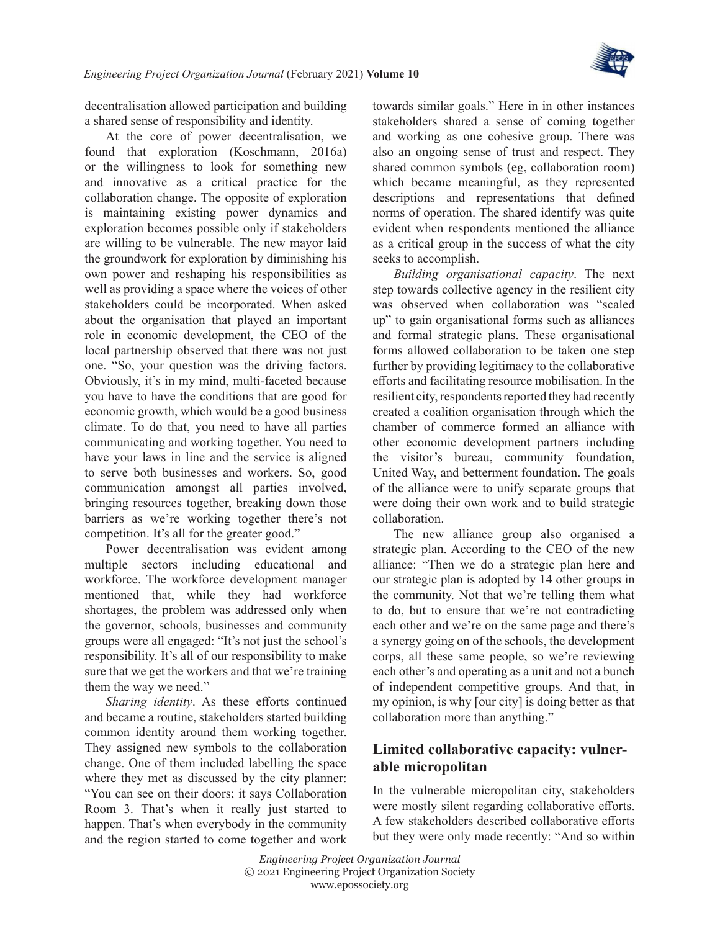

decentralisation allowed participation and building a shared sense of responsibility and identity.

At the core of power decentralisation, we found that exploration ([Koschmann, 2016a](#page-20-4)) or the willingness to look for something new and innovative as a critical practice for the collaboration change. The opposite of exploration is maintaining existing power dynamics and exploration becomes possible only if stakeholders are willing to be vulnerable. The new mayor laid the groundwork for exploration by diminishing his own power and reshaping his responsibilities as well as providing a space where the voices of other stakeholders could be incorporated. When asked about the organisation that played an important role in economic development, the CEO of the local partnership observed that there was not just one. "So, your question was the driving factors. Obviously, it's in my mind, multi-faceted because you have to have the conditions that are good for economic growth, which would be a good business climate. To do that, you need to have all parties communicating and working together. You need to have your laws in line and the service is aligned to serve both businesses and workers. So, good communication amongst all parties involved, bringing resources together, breaking down those barriers as we're working together there's not competition. It's all for the greater good."

Power decentralisation was evident among multiple sectors including educational and workforce. The workforce development manager mentioned that, while they had workforce shortages, the problem was addressed only when the governor, schools, businesses and community groups were all engaged: "It's not just the school's responsibility. It's all of our responsibility to make sure that we get the workers and that we're training them the way we need."

*Sharing identity*. As these efforts continued and became a routine, stakeholders started building common identity around them working together. They assigned new symbols to the collaboration change. One of them included labelling the space where they met as discussed by the city planner: "You can see on their doors; it says Collaboration Room 3. That's when it really just started to happen. That's when everybody in the community and the region started to come together and work

towards similar goals." Here in in other instances stakeholders shared a sense of coming together and working as one cohesive group. There was also an ongoing sense of trust and respect. They shared common symbols (eg, collaboration room) which became meaningful, as they represented descriptions and representations that defined norms of operation. The shared identify was quite evident when respondents mentioned the alliance as a critical group in the success of what the city seeks to accomplish.

*Building organisational capacity*. The next step towards collective agency in the resilient city was observed when collaboration was "scaled up" to gain organisational forms such as alliances and formal strategic plans. These organisational forms allowed collaboration to be taken one step further by providing legitimacy to the collaborative efforts and facilitating resource mobilisation. In the resilient city, respondents reported they had recently created a coalition organisation through which the chamber of commerce formed an alliance with other economic development partners including the visitor's bureau, community foundation, United Way, and betterment foundation. The goals of the alliance were to unify separate groups that were doing their own work and to build strategic collaboration.

The new alliance group also organised a strategic plan. According to the CEO of the new alliance: "Then we do a strategic plan here and our strategic plan is adopted by 14 other groups in the community. Not that we're telling them what to do, but to ensure that we're not contradicting each other and we're on the same page and there's a synergy going on of the schools, the development corps, all these same people, so we're reviewing each other's and operating as a unit and not a bunch of independent competitive groups. And that, in my opinion, is why [our city] is doing better as that collaboration more than anything."

### **Limited collaborative capacity: vulnerable micropolitan**

In the vulnerable micropolitan city, stakeholders were mostly silent regarding collaborative efforts. A few stakeholders described collaborative efforts but they were only made recently: "And so within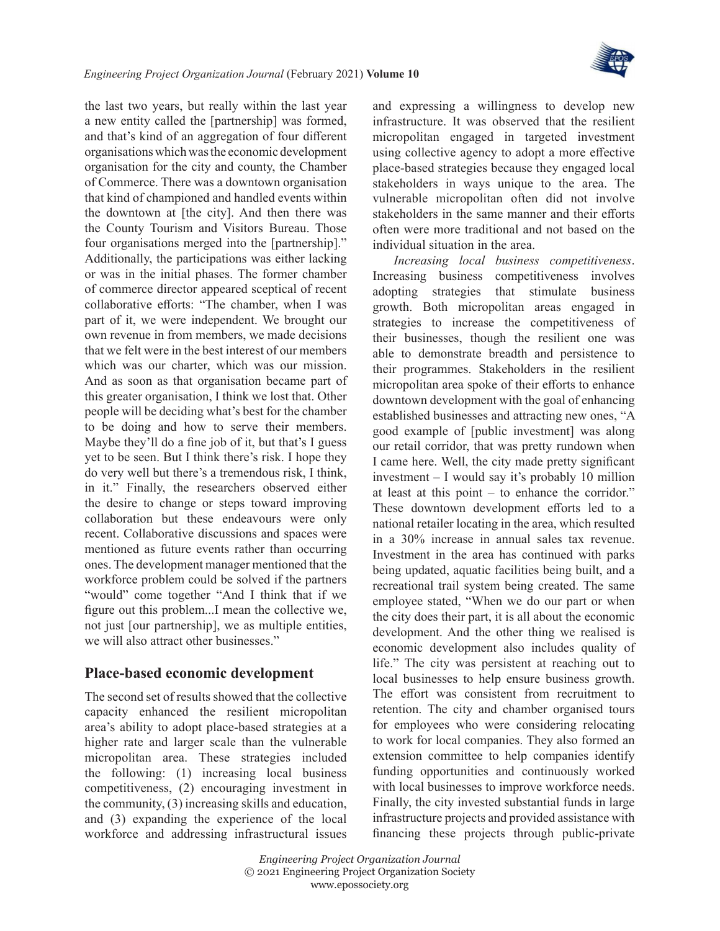

the last two years, but really within the last year a new entity called the [partnership] was formed, and that's kind of an aggregation of four different organisations which was the economic development organisation for the city and county, the Chamber of Commerce. There was a downtown organisation that kind of championed and handled events within the downtown at [the city]. And then there was the County Tourism and Visitors Bureau. Those four organisations merged into the [partnership]." Additionally, the participations was either lacking or was in the initial phases. The former chamber of commerce director appeared sceptical of recent collaborative efforts: "The chamber, when I was part of it, we were independent. We brought our own revenue in from members, we made decisions that we felt were in the best interest of our members which was our charter, which was our mission. And as soon as that organisation became part of this greater organisation, I think we lost that. Other people will be deciding what's best for the chamber to be doing and how to serve their members. Maybe they'll do a fine job of it, but that's I guess yet to be seen. But I think there's risk. I hope they do very well but there's a tremendous risk, I think, in it." Finally, the researchers observed either the desire to change or steps toward improving collaboration but these endeavours were only recent. Collaborative discussions and spaces were mentioned as future events rather than occurring ones. The development manager mentioned that the workforce problem could be solved if the partners "would" come together "And I think that if we figure out this problem...I mean the collective we, not just [our partnership], we as multiple entities, we will also attract other businesses."

#### **Place-based economic development**

The second set of results showed that the collective capacity enhanced the resilient micropolitan area's ability to adopt place-based strategies at a higher rate and larger scale than the vulnerable micropolitan area. These strategies included the following: (1) increasing local business competitiveness, (2) encouraging investment in the community, (3) increasing skills and education, and (3) expanding the experience of the local workforce and addressing infrastructural issues

and expressing a willingness to develop new infrastructure. It was observed that the resilient micropolitan engaged in targeted investment using collective agency to adopt a more effective place-based strategies because they engaged local stakeholders in ways unique to the area. The vulnerable micropolitan often did not involve stakeholders in the same manner and their efforts often were more traditional and not based on the individual situation in the area.

*Increasing local business competitiveness*. Increasing business competitiveness involves adopting strategies that stimulate business growth. Both micropolitan areas engaged in strategies to increase the competitiveness of their businesses, though the resilient one was able to demonstrate breadth and persistence to their programmes. Stakeholders in the resilient micropolitan area spoke of their efforts to enhance downtown development with the goal of enhancing established businesses and attracting new ones, "A good example of [public investment] was along our retail corridor, that was pretty rundown when I came here. Well, the city made pretty significant investment – I would say it's probably 10 million at least at this point – to enhance the corridor." These downtown development efforts led to a national retailer locating in the area, which resulted in a 30% increase in annual sales tax revenue. Investment in the area has continued with parks being updated, aquatic facilities being built, and a recreational trail system being created. The same employee stated, "When we do our part or when the city does their part, it is all about the economic development. And the other thing we realised is economic development also includes quality of life." The city was persistent at reaching out to local businesses to help ensure business growth. The effort was consistent from recruitment to retention. The city and chamber organised tours for employees who were considering relocating to work for local companies. They also formed an extension committee to help companies identify funding opportunities and continuously worked with local businesses to improve workforce needs. Finally, the city invested substantial funds in large infrastructure projects and provided assistance with financing these projects through public-private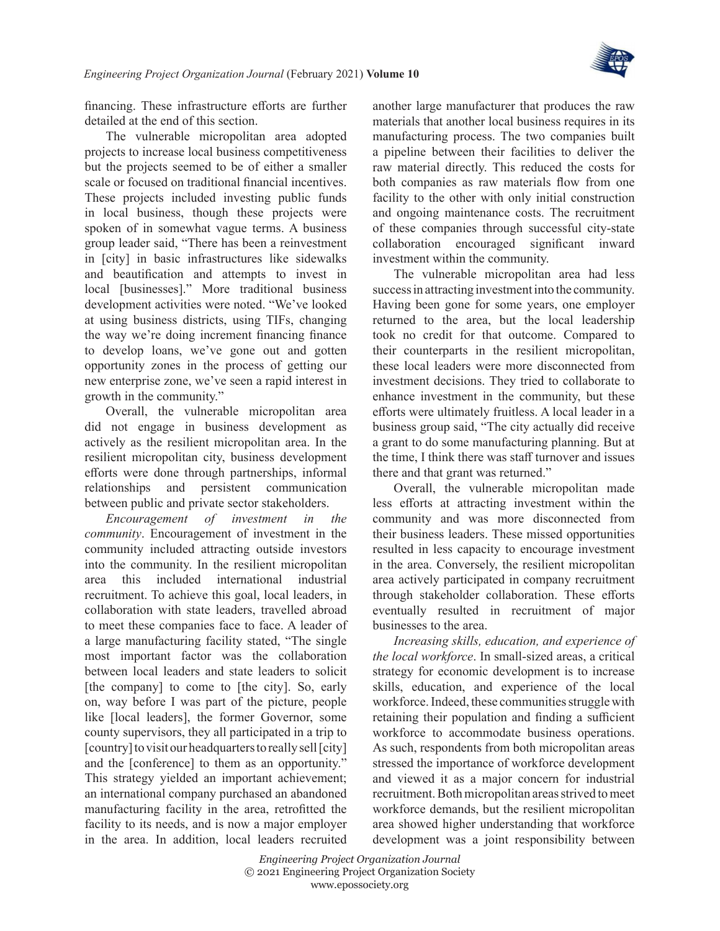

financing. These infrastructure efforts are further detailed at the end of this section.

The vulnerable micropolitan area adopted projects to increase local business competitiveness but the projects seemed to be of either a smaller scale or focused on traditional financial incentives. These projects included investing public funds in local business, though these projects were spoken of in somewhat vague terms. A business group leader said, "There has been a reinvestment in [city] in basic infrastructures like sidewalks and beautification and attempts to invest in local [businesses]." More traditional business development activities were noted. "We've looked at using business districts, using TIFs, changing the way we're doing increment financing finance to develop loans, we've gone out and gotten opportunity zones in the process of getting our new enterprise zone, we've seen a rapid interest in growth in the community."

Overall, the vulnerable micropolitan area did not engage in business development as actively as the resilient micropolitan area. In the resilient micropolitan city, business development efforts were done through partnerships, informal relationships and persistent communication between public and private sector stakeholders.

*Encouragement of investment in the community*. Encouragement of investment in the community included attracting outside investors into the community. In the resilient micropolitan area this included international industrial recruitment. To achieve this goal, local leaders, in collaboration with state leaders, travelled abroad to meet these companies face to face. A leader of a large manufacturing facility stated, "The single most important factor was the collaboration between local leaders and state leaders to solicit [the company] to come to [the city]. So, early on, way before I was part of the picture, people like [local leaders], the former Governor, some county supervisors, they all participated in a trip to [country] to visit our headquarters to really sell [city] and the [conference] to them as an opportunity." This strategy yielded an important achievement; an international company purchased an abandoned manufacturing facility in the area, retrofitted the facility to its needs, and is now a major employer in the area. In addition, local leaders recruited

another large manufacturer that produces the raw materials that another local business requires in its manufacturing process. The two companies built a pipeline between their facilities to deliver the raw material directly. This reduced the costs for both companies as raw materials flow from one facility to the other with only initial construction and ongoing maintenance costs. The recruitment of these companies through successful city-state collaboration encouraged significant inward investment within the community.

The vulnerable micropolitan area had less success in attracting investment into the community. Having been gone for some years, one employer returned to the area, but the local leadership took no credit for that outcome. Compared to their counterparts in the resilient micropolitan, these local leaders were more disconnected from investment decisions. They tried to collaborate to enhance investment in the community, but these efforts were ultimately fruitless. A local leader in a business group said, "The city actually did receive a grant to do some manufacturing planning. But at the time, I think there was staff turnover and issues there and that grant was returned."

Overall, the vulnerable micropolitan made less efforts at attracting investment within the community and was more disconnected from their business leaders. These missed opportunities resulted in less capacity to encourage investment in the area. Conversely, the resilient micropolitan area actively participated in company recruitment through stakeholder collaboration. These efforts eventually resulted in recruitment of major businesses to the area.

*Increasing skills, education, and experience of the local workforce*. In small-sized areas, a critical strategy for economic development is to increase skills, education, and experience of the local workforce. Indeed, these communities struggle with retaining their population and finding a sufficient workforce to accommodate business operations. As such, respondents from both micropolitan areas stressed the importance of workforce development and viewed it as a major concern for industrial recruitment. Both micropolitan areas strived to meet workforce demands, but the resilient micropolitan area showed higher understanding that workforce development was a joint responsibility between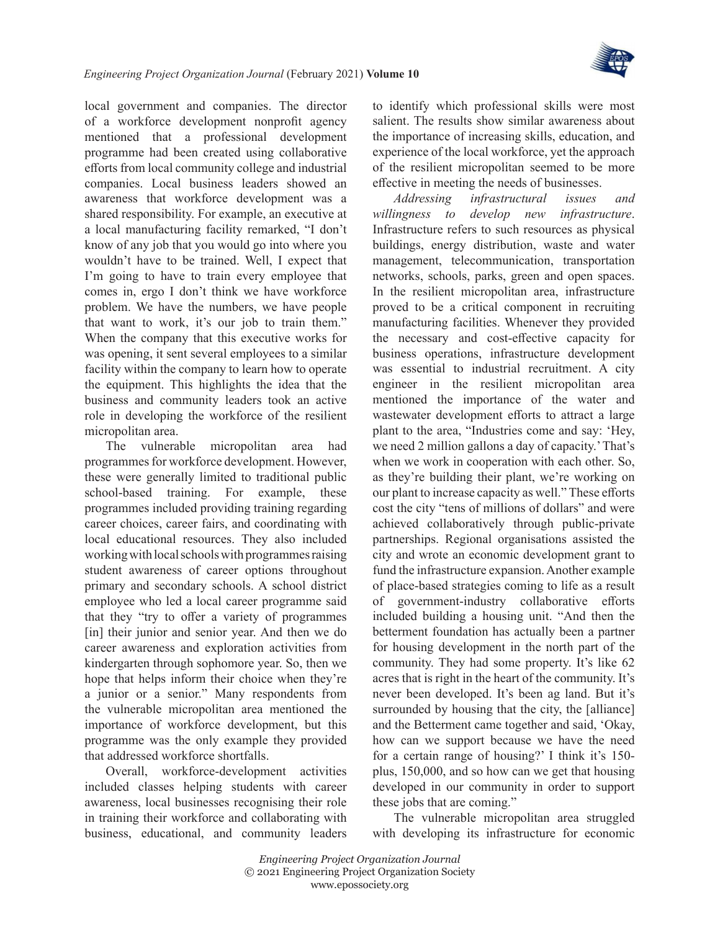

local government and companies. The director of a workforce development nonprofit agency mentioned that a professional development programme had been created using collaborative efforts from local community college and industrial companies. Local business leaders showed an awareness that workforce development was a shared responsibility. For example, an executive at a local manufacturing facility remarked, "I don't know of any job that you would go into where you wouldn't have to be trained. Well, I expect that I'm going to have to train every employee that comes in, ergo I don't think we have workforce problem. We have the numbers, we have people that want to work, it's our job to train them." When the company that this executive works for was opening, it sent several employees to a similar facility within the company to learn how to operate the equipment. This highlights the idea that the business and community leaders took an active role in developing the workforce of the resilient micropolitan area.

The vulnerable micropolitan area had programmes for workforce development. However, these were generally limited to traditional public school-based training. For example, these programmes included providing training regarding career choices, career fairs, and coordinating with local educational resources. They also included working with local schools with programmes raising student awareness of career options throughout primary and secondary schools. A school district employee who led a local career programme said that they "try to offer a variety of programmes [in] their junior and senior year. And then we do career awareness and exploration activities from kindergarten through sophomore year. So, then we hope that helps inform their choice when they're a junior or a senior." Many respondents from the vulnerable micropolitan area mentioned the importance of workforce development, but this programme was the only example they provided that addressed workforce shortfalls.

Overall, workforce-development activities included classes helping students with career awareness, local businesses recognising their role in training their workforce and collaborating with business, educational, and community leaders to identify which professional skills were most salient. The results show similar awareness about the importance of increasing skills, education, and experience of the local workforce, yet the approach of the resilient micropolitan seemed to be more effective in meeting the needs of businesses.

*Addressing infrastructural issues and willingness to develop new infrastructure*. Infrastructure refers to such resources as physical buildings, energy distribution, waste and water management, telecommunication, transportation networks, schools, parks, green and open spaces. In the resilient micropolitan area, infrastructure proved to be a critical component in recruiting manufacturing facilities. Whenever they provided the necessary and cost-effective capacity for business operations, infrastructure development was essential to industrial recruitment. A city engineer in the resilient micropolitan area mentioned the importance of the water and wastewater development efforts to attract a large plant to the area, "Industries come and say: 'Hey, we need 2 million gallons a day of capacity.' That's when we work in cooperation with each other. So, as they're building their plant, we're working on our plant to increase capacity as well." These efforts cost the city "tens of millions of dollars" and were achieved collaboratively through public-private partnerships. Regional organisations assisted the city and wrote an economic development grant to fund the infrastructure expansion. Another example of place-based strategies coming to life as a result of government-industry collaborative efforts included building a housing unit. "And then the betterment foundation has actually been a partner for housing development in the north part of the community. They had some property. It's like 62 acres that is right in the heart of the community. It's never been developed. It's been ag land. But it's surrounded by housing that the city, the [alliance] and the Betterment came together and said, 'Okay, how can we support because we have the need for a certain range of housing?' I think it's 150 plus, 150,000, and so how can we get that housing developed in our community in order to support these jobs that are coming."

The vulnerable micropolitan area struggled with developing its infrastructure for economic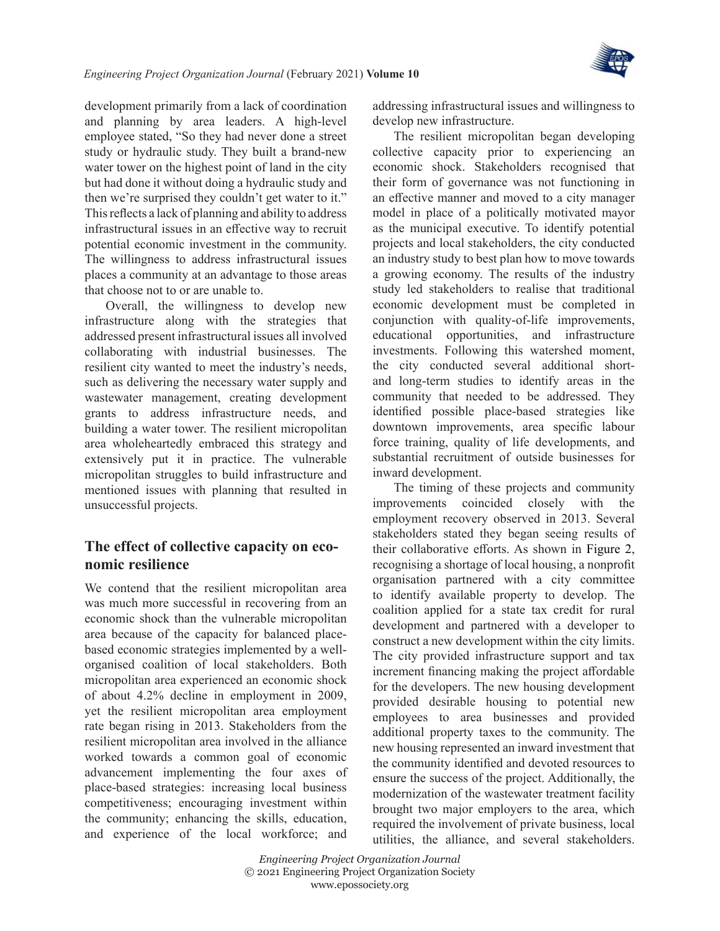

development primarily from a lack of coordination and planning by area leaders. A high-level employee stated, "So they had never done a street study or hydraulic study. They built a brand-new water tower on the highest point of land in the city but had done it without doing a hydraulic study and then we're surprised they couldn't get water to it." This reflects a lack of planning and ability to address infrastructural issues in an effective way to recruit potential economic investment in the community. The willingness to address infrastructural issues places a community at an advantage to those areas that choose not to or are unable to.

Overall, the willingness to develop new infrastructure along with the strategies that addressed present infrastructural issues all involved collaborating with industrial businesses. The resilient city wanted to meet the industry's needs, such as delivering the necessary water supply and wastewater management, creating development grants to address infrastructure needs, and building a water tower. The resilient micropolitan area wholeheartedly embraced this strategy and extensively put it in practice. The vulnerable micropolitan struggles to build infrastructure and mentioned issues with planning that resulted in unsuccessful projects.

### **The effect of collective capacity on economic resilience**

We contend that the resilient micropolitan area was much more successful in recovering from an economic shock than the vulnerable micropolitan area because of the capacity for balanced placebased economic strategies implemented by a wellorganised coalition of local stakeholders. Both micropolitan area experienced an economic shock of about 4.2% decline in employment in 2009, yet the resilient micropolitan area employment rate began rising in 2013. Stakeholders from the resilient micropolitan area involved in the alliance worked towards a common goal of economic advancement implementing the four axes of place-based strategies: increasing local business competitiveness; encouraging investment within the community; enhancing the skills, education, and experience of the local workforce; and addressing infrastructural issues and willingness to develop new infrastructure.

The resilient micropolitan began developing collective capacity prior to experiencing an economic shock. Stakeholders recognised that their form of governance was not functioning in an effective manner and moved to a city manager model in place of a politically motivated mayor as the municipal executive. To identify potential projects and local stakeholders, the city conducted an industry study to best plan how to move towards a growing economy. The results of the industry study led stakeholders to realise that traditional economic development must be completed in conjunction with quality-of-life improvements, educational opportunities, and infrastructure investments. Following this watershed moment, the city conducted several additional shortand long-term studies to identify areas in the community that needed to be addressed. They identified possible place-based strategies like downtown improvements, area specific labour force training, quality of life developments, and substantial recruitment of outside businesses for inward development.

The timing of these projects and community improvements coincided closely with the employment recovery observed in 2013. Several stakeholders stated they began seeing results of their collaborative efforts. As shown in [Figure](#page-16-0) 2, recognising a shortage of local housing, a nonprofit organisation partnered with a city committee to identify available property to develop. The coalition applied for a state tax credit for rural development and partnered with a developer to construct a new development within the city limits. The city provided infrastructure support and tax increment financing making the project affordable for the developers. The new housing development provided desirable housing to potential new employees to area businesses and provided additional property taxes to the community. The new housing represented an inward investment that the community identified and devoted resources to ensure the success of the project. Additionally, the modernization of the wastewater treatment facility brought two major employers to the area, which required the involvement of private business, local utilities, the alliance, and several stakeholders.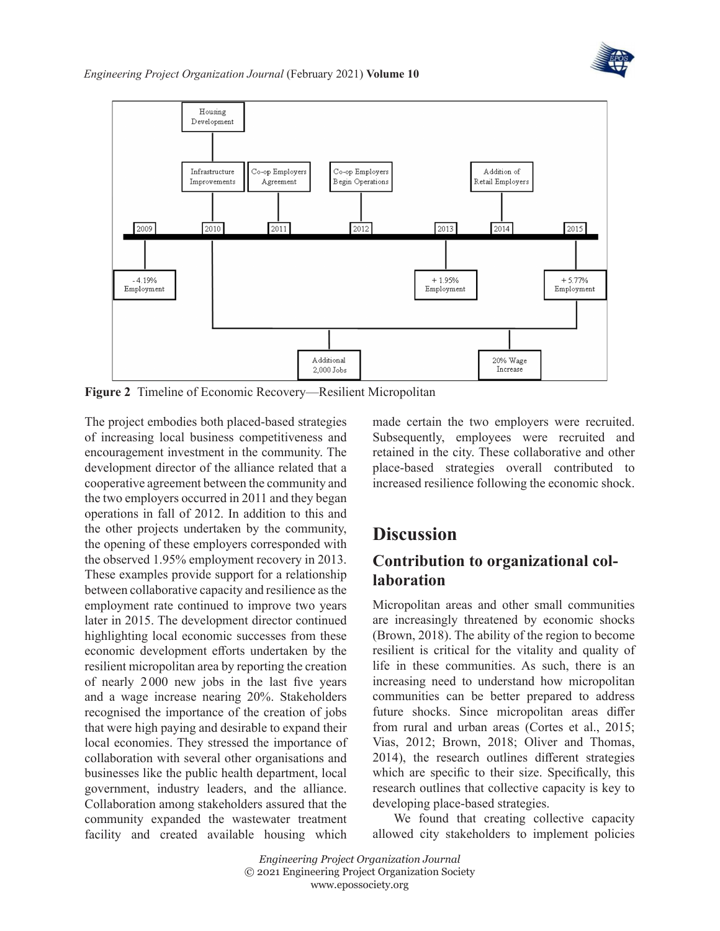



<span id="page-16-0"></span>**Figure 2** Timeline of Economic Recovery—Resilient Micropolitan

The project embodies both placed-based strategies of increasing local business competitiveness and encouragement investment in the community. The development director of the alliance related that a cooperative agreement between the community and the two employers occurred in 2011 and they began operations in fall of 2012. In addition to this and the other projects undertaken by the community, the opening of these employers corresponded with the observed 1.95% employment recovery in 2013. These examples provide support for a relationship between collaborative capacity and resilience as the employment rate continued to improve two years later in 2015. The development director continued highlighting local economic successes from these economic development efforts undertaken by the resilient micropolitan area by reporting the creation of nearly 2000 new jobs in the last five years and a wage increase nearing 20%. Stakeholders recognised the importance of the creation of jobs that were high paying and desirable to expand their local economies. They stressed the importance of collaboration with several other organisations and businesses like the public health department, local government, industry leaders, and the alliance. Collaboration among stakeholders assured that the community expanded the wastewater treatment facility and created available housing which

made certain the two employers were recruited. Subsequently, employees were recruited and retained in the city. These collaborative and other place-based strategies overall contributed to increased resilience following the economic shock.

# **Discussion**

### **Contribution to organizational collaboration**

Micropolitan areas and other small communities are increasingly threatened by economic shocks ([Brown, 2018\)](#page-18-0). The ability of the region to become resilient is critical for the vitality and quality of life in these communities. As such, there is an increasing need to understand how micropolitan communities can be better prepared to address future shocks. Since micropolitan areas differ from rural and urban areas [\(Cortes et](#page-18-1) al., 2015; [Vias, 2012](#page-21-1); [Brown, 2018;](#page-18-0) [Oliver and Thomas,](#page-20-2) [2014](#page-20-2)), the research outlines different strategies which are specific to their size. Specifically, this research outlines that collective capacity is key to developing place-based strategies.

We found that creating collective capacity allowed city stakeholders to implement policies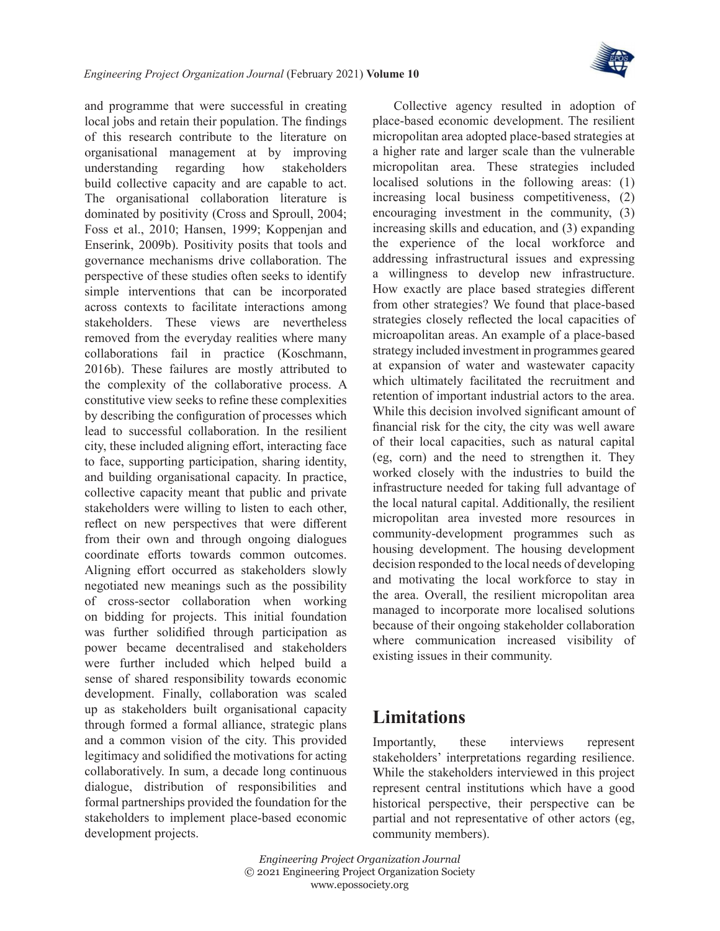

and programme that were successful in creating local jobs and retain their population. The findings of this research contribute to the literature on organisational management at by improving understanding regarding how stakeholders build collective capacity and are capable to act. The organisational collaboration literature is dominated by positivity [\(Cross and Sproull, 2004;](#page-19-19) Foss et [al., 2010](#page-19-20); [Hansen, 1999;](#page-19-21) [Koppenjan and](#page-20-22)  [Enserink, 2009b\)](#page-20-22). Positivity posits that tools and governance mechanisms drive collaboration. The perspective of these studies often seeks to identify simple interventions that can be incorporated across contexts to facilitate interactions among stakeholders. These views are nevertheless removed from the everyday realities where many collaborations fail in practice ([Koschmann,](#page-20-13) [2016b\)](#page-20-13). These failures are mostly attributed to the complexity of the collaborative process. A constitutive view seeks to refine these complexities by describing the configuration of processes which lead to successful collaboration. In the resilient city, these included aligning effort, interacting face to face, supporting participation, sharing identity, and building organisational capacity. In practice, collective capacity meant that public and private stakeholders were willing to listen to each other, reflect on new perspectives that were different from their own and through ongoing dialogues coordinate efforts towards common outcomes. Aligning effort occurred as stakeholders slowly negotiated new meanings such as the possibility of cross-sector collaboration when working on bidding for projects. This initial foundation was further solidified through participation as power became decentralised and stakeholders were further included which helped build a sense of shared responsibility towards economic development. Finally, collaboration was scaled up as stakeholders built organisational capacity through formed a formal alliance, strategic plans and a common vision of the city. This provided legitimacy and solidified the motivations for acting collaboratively. In sum, a decade long continuous dialogue, distribution of responsibilities and formal partnerships provided the foundation for the stakeholders to implement place-based economic development projects.

Collective agency resulted in adoption of place-based economic development. The resilient micropolitan area adopted place-based strategies at a higher rate and larger scale than the vulnerable micropolitan area. These strategies included localised solutions in the following areas: (1) increasing local business competitiveness, (2) encouraging investment in the community, (3) increasing skills and education, and (3) expanding the experience of the local workforce and addressing infrastructural issues and expressing a willingness to develop new infrastructure. How exactly are place based strategies different from other strategies? We found that place-based strategies closely reflected the local capacities of microapolitan areas. An example of a place-based strategy included investment in programmes geared at expansion of water and wastewater capacity which ultimately facilitated the recruitment and retention of important industrial actors to the area. While this decision involved significant amount of financial risk for the city, the city was well aware of their local capacities, such as natural capital (eg, corn) and the need to strengthen it. They worked closely with the industries to build the infrastructure needed for taking full advantage of the local natural capital. Additionally, the resilient micropolitan area invested more resources in community-development programmes such as housing development. The housing development decision responded to the local needs of developing and motivating the local workforce to stay in the area. Overall, the resilient micropolitan area managed to incorporate more localised solutions because of their ongoing stakeholder collaboration where communication increased visibility of existing issues in their community.

# **Limitations**

Importantly, these interviews represent stakeholders' interpretations regarding resilience. While the stakeholders interviewed in this project represent central institutions which have a good historical perspective, their perspective can be partial and not representative of other actors (eg, community members).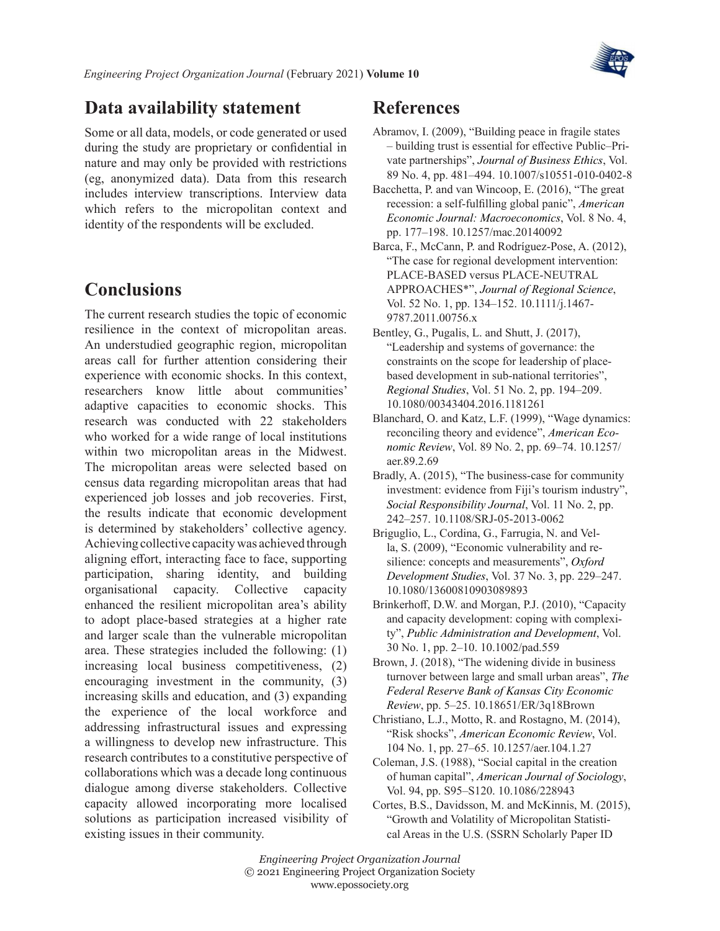

## **Data availability statement**

Some or all data, models, or code generated or used during the study are proprietary or confidential in nature and may only be provided with restrictions (eg, anonymized data). Data from this research includes interview transcriptions. Interview data which refers to the micropolitan context and identity of the respondents will be excluded.

# **Conclusions**

The current research studies the topic of economic resilience in the context of micropolitan areas. An understudied geographic region, micropolitan areas call for further attention considering their experience with economic shocks. In this context, researchers know little about communities' adaptive capacities to economic shocks. This research was conducted with 22 stakeholders who worked for a wide range of local institutions within two micropolitan areas in the Midwest. The micropolitan areas were selected based on census data regarding micropolitan areas that had experienced job losses and job recoveries. First, the results indicate that economic development is determined by stakeholders' collective agency. Achieving collective capacity was achieved through aligning effort, interacting face to face, supporting participation, sharing identity, and building organisational capacity. Collective capacity enhanced the resilient micropolitan area's ability to adopt place-based strategies at a higher rate and larger scale than the vulnerable micropolitan area. These strategies included the following: (1) increasing local business competitiveness, (2) encouraging investment in the community, (3) increasing skills and education, and (3) expanding the experience of the local workforce and addressing infrastructural issues and expressing a willingness to develop new infrastructure. This research contributes to a constitutive perspective of collaborations which was a decade long continuous dialogue among diverse stakeholders. Collective capacity allowed incorporating more localised solutions as participation increased visibility of existing issues in their community.

# **References**

- <span id="page-18-9"></span>Abramov, I. (2009), "Building peace in fragile states – building trust is essential for effective Public–Private partnerships", *Journal of Business Ethics*, Vol. 89 No. 4, pp. 481–494. 10.1007/s10551-010-0402-8
- <span id="page-18-10"></span>Bacchetta, P. and van Wincoop, E. (2016), "The great recession: a self-fulfilling global panic", *American Economic Journal: Macroeconomics*, Vol. 8 No. 4, pp. 177–198. 10.1257/mac.20140092
- <span id="page-18-2"></span>Barca, F., McCann, P. and Rodríguez-Pose, A. (2012), "The case for regional development intervention: PLACE-BASED versus PLACE-NEUTRAL APPROACHES\*", *Journal of Regional Science*, Vol. 52 No. 1, pp. 134–152. 10.1111/j.1467- 9787.2011.00756.x
- <span id="page-18-7"></span>Bentley, G., Pugalis, L. and Shutt, J. (2017), "Leadership and systems of governance: the constraints on the scope for leadership of placebased development in sub-national territories", *Regional Studies*, Vol. 51 No. 2, pp. 194–209. 10.1080/00343404.2016.1181261
- <span id="page-18-3"></span>Blanchard, O. and Katz, L.F. (1999), "Wage dynamics: reconciling theory and evidence", *American Economic Review*, Vol. 89 No. 2, pp. 69–74. 10.1257/ aer.89.2.69
- <span id="page-18-8"></span>Bradly, A. (2015), "The business-case for community investment: evidence from Fiji's tourism industry", *Social Responsibility Journal*, Vol. 11 No. 2, pp. 242–257. 10.1108/SRJ-05-2013-0062
- <span id="page-18-4"></span>Briguglio, L., Cordina, G., Farrugia, N. and Vella, S. (2009), "Economic vulnerability and resilience: concepts and measurements", *Oxford Development Studies*, Vol. 37 No. 3, pp. 229–247. 10.1080/13600810903089893
- <span id="page-18-6"></span>Brinkerhoff, D.W. and Morgan, P.J. (2010), "Capacity and capacity development: coping with complexity", *Public Administration and Development*, Vol. 30 No. 1, pp. 2–10. 10.1002/pad.559
- <span id="page-18-0"></span>Brown, J. (2018), "The widening divide in business turnover between large and small urban areas", *The Federal Reserve Bank of Kansas City Economic Review*, pp. 5–25. 10.18651/ER/3q18Brown
- <span id="page-18-11"></span>Christiano, L.J., Motto, R. and Rostagno, M. (2014), "Risk shocks", *American Economic Review*, Vol. 104 No. 1, pp. 27–65. 10.1257/aer.104.1.27
- <span id="page-18-5"></span>Coleman, J.S. (1988), "Social capital in the creation of human capital", *American Journal of Sociology*, Vol. 94, pp. S95–S120. 10.1086/228943
- <span id="page-18-1"></span>Cortes, B.S., Davidsson, M. and McKinnis, M. (2015), "Growth and Volatility of Micropolitan Statistical Areas in the U.S. (SSRN Scholarly Paper ID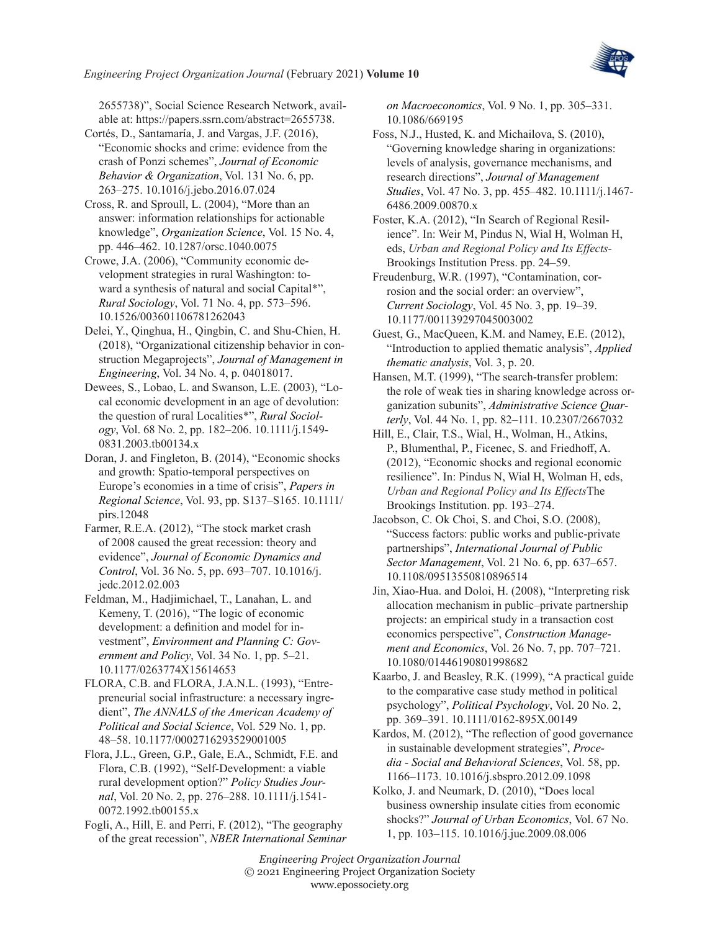

2655738)", Social Science Research Network, available at: <https://papers.ssrn.com/abstract=2655738>.

<span id="page-19-3"></span>Cortés, D., Santamaría, J. and Vargas, J.F. (2016), "Economic shocks and crime: evidence from the crash of Ponzi schemes", *Journal of Economic Behavior & Organization*, Vol. 131 No. 6, pp. 263–275. 10.1016/j.jebo.2016.07.024

<span id="page-19-19"></span>Cross, R. and Sproull, L. (2004), "More than an answer: information relationships for actionable knowledge", *Organization Science*, Vol. 15 No. 4, pp. 446–462. 10.1287/orsc.1040.0075

<span id="page-19-2"></span>Crowe, J.A. (2006), "Community economic development strategies in rural Washington: toward a synthesis of natural and social Capital\*", *Rural Sociology*, Vol. 71 No. 4, pp. 573–596. 10.1526/003601106781262043

<span id="page-19-14"></span>Delei, Y., Qinghua, H., Qingbin, C. and Shu-Chien, H. (2018), "Organizational citizenship behavior in construction Megaprojects", *Journal of Management in Engineering*, Vol. 34 No. 4, p. 04018017.

<span id="page-19-10"></span>Dewees, S., Lobao, L. and Swanson, L.E. (2003), "Local economic development in an age of devolution: the question of rural Localities\*", *Rural Sociology*, Vol. 68 No. 2, pp. 182–206. 10.1111/j.1549- 0831.2003.tb00134.x

<span id="page-19-6"></span>Doran, J. and Fingleton, B. (2014), "Economic shocks and growth: Spatio-temporal perspectives on Europe's economies in a time of crisis", *Papers in Regional Science*, Vol. 93, pp. S137–S165. 10.1111/ pirs.12048

<span id="page-19-16"></span>Farmer, R.E.A. (2012), "The stock market crash of 2008 caused the great recession: theory and evidence", *Journal of Economic Dynamics and Control*, Vol. 36 No. 5, pp. 693–707. 10.1016/j. jedc.2012.02.003

<span id="page-19-1"></span>Feldman, M., Hadjimichael, T., Lanahan, L. and Kemeny, T. (2016), "The logic of economic development: a definition and model for investment", *Environment and Planning C: Government and Policy*, Vol. 34 No. 1, pp. 5–21. 10.1177/0263774X15614653

<span id="page-19-9"></span>FLORA, C.B. and FLORA, J.A.N.L. (1993), "Entrepreneurial social infrastructure: a necessary ingredient", *The ANNALS of the American Academy of Political and Social Science*, Vol. 529 No. 1, pp. 48–58. 10.1177/0002716293529001005

<span id="page-19-8"></span>Flora, J.L., Green, G.P., Gale, E.A., Schmidt, F.E. and Flora, C.B. (1992), "Self-Development: a viable rural development option?" *Policy Studies Journal*, Vol. 20 No. 2, pp. 276–288. 10.1111/j.1541- 0072.1992.tb00155.x

<span id="page-19-15"></span>Fogli, A., Hill, E. and Perri, F. (2012), "The geography of the great recession", *NBER International Seminar*  *on Macroeconomics*, Vol. 9 No. 1, pp. 305–331. 10.1086/669195

<span id="page-19-20"></span>Foss, N.J., Husted, K. and Michailova, S. (2010), "Governing knowledge sharing in organizations: levels of analysis, governance mechanisms, and research directions", *Journal of Management Studies*, Vol. 47 No. 3, pp. 455–482. 10.1111/j.1467- 6486.2009.00870.x

<span id="page-19-0"></span>Foster, K.A. (2012), "In Search of Regional Resilience". In: Weir M, Pindus N, Wial H, Wolman H, eds, *Urban and Regional Policy and Its Effects-*Brookings Institution Press. pp. 24–59.

<span id="page-19-4"></span>Freudenburg, W.R. (1997), "Contamination, corrosion and the social order: an overview", *Current Sociology*, Vol. 45 No. 3, pp. 19–39. 10.1177/001139297045003002

<span id="page-19-18"></span>Guest, G., MacQueen, K.M. and Namey, E.E. (2012), "Introduction to applied thematic analysis", *Applied thematic analysis*, Vol. 3, p. 20.

<span id="page-19-21"></span>Hansen, M.T. (1999), "The search-transfer problem: the role of weak ties in sharing knowledge across organization subunits", *Administrative Science Quarterly*, Vol. 44 No. 1, pp. 82–111. 10.2307/2667032

<span id="page-19-5"></span>Hill, E., Clair, T.S., Wial, H., Wolman, H., Atkins, P., Blumenthal, P., Ficenec, S. and Friedhoff, A. (2012), "Economic shocks and regional economic resilience". In: Pindus N, Wial H, Wolman H, eds, *Urban and Regional Policy and Its Effects*The Brookings Institution. pp. 193–274.

<span id="page-19-13"></span>Jacobson, C. Ok Choi, S. and Choi, S.O. (2008), "Success factors: public works and public‐private partnerships", *International Journal of Public Sector Management*, Vol. 21 No. 6, pp. 637–657. 10.1108/09513550810896514

<span id="page-19-12"></span>Jin, Xiao‐Hua. and Doloi, H. (2008), "Interpreting risk allocation mechanism in public–private partnership projects: an empirical study in a transaction cost economics perspective", *Construction Management and Economics*, Vol. 26 No. 7, pp. 707–721. 10.1080/01446190801998682

<span id="page-19-17"></span>Kaarbo, J. and Beasley, R.K. (1999), "A practical guide to the comparative case study method in political psychology", *Political Psychology*, Vol. 20 No. 2, pp. 369–391. 10.1111/0162-895X.00149

<span id="page-19-11"></span>Kardos, M. (2012), "The reflection of good governance in sustainable development strategies", *Procedia - Social and Behavioral Sciences*, Vol. 58, pp. 1166–1173. 10.1016/j.sbspro.2012.09.1098

<span id="page-19-7"></span>Kolko, J. and Neumark, D. (2010), "Does local business ownership insulate cities from economic shocks?" *Journal of Urban Economics*, Vol. 67 No. 1, pp. 103–115. 10.1016/j.jue.2009.08.006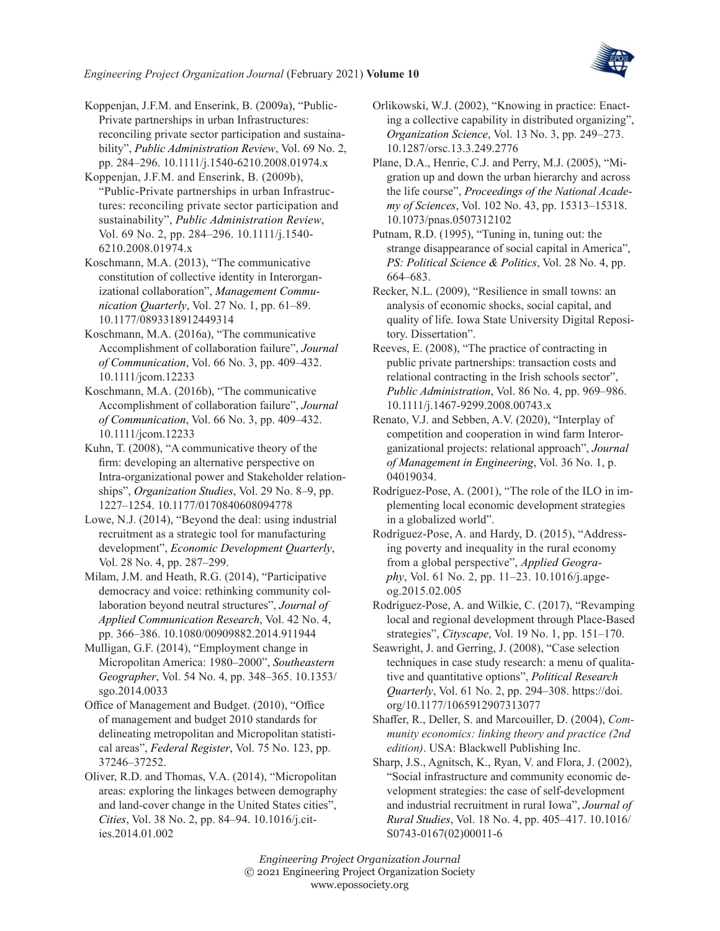

<span id="page-20-14"></span>Koppenjan, J.F.M. and Enserink, B. (2009a), "Public-Private partnerships in urban Infrastructures: reconciling private sector participation and sustainability", *Public Administration Review*, Vol. 69 No. 2, pp. 284–296. 10.1111/j.1540-6210.2008.01974.x

<span id="page-20-22"></span>Koppenjan, J.F.M. and Enserink, B. (2009b), "Public-Private partnerships in urban Infrastructures: reconciling private sector participation and sustainability", *Public Administration Review*, Vol. 69 No. 2, pp. 284–296. 10.1111/j.1540- 6210.2008.01974.x

<span id="page-20-3"></span>Koschmann, M.A. (2013), "The communicative constitution of collective identity in Interorganizational collaboration", *Management Communication Quarterly*, Vol. 27 No. 1, pp. 61–89. 10.1177/0893318912449314

<span id="page-20-4"></span>Koschmann, M.A. (2016a), "The communicative Accomplishment of collaboration failure", *Journal of Communication*, Vol. 66 No. 3, pp. 409–432. 10.1111/jcom.12233

<span id="page-20-13"></span>Koschmann, M.A. (2016b), "The communicative Accomplishment of collaboration failure", *Journal of Communication*, Vol. 66 No. 3, pp. 409–432. 10.1111/jcom.12233

<span id="page-20-17"></span>Kuhn, T. (2008), "A communicative theory of the firm: developing an alternative perspective on Intra-organizational power and Stakeholder relationships", *Organization Studies*, Vol. 29 No. 8–9, pp. 1227–1254. 10.1177/0170840608094778

<span id="page-20-6"></span>Lowe, N.J. (2014), "Beyond the deal: using industrial recruitment as a strategic tool for manufacturing development", *Economic Development Quarterly*, Vol. 28 No. 4, pp. 287–299.

<span id="page-20-21"></span>Milam, J.M. and Heath, R.G. (2014), "Participative democracy and voice: rethinking community collaboration beyond neutral structures", *Journal of Applied Communication Research*, Vol. 42 No. 4, pp. 366–386. 10.1080/00909882.2014.911944

<span id="page-20-9"></span>Mulligan, G.F. (2014), "Employment change in Micropolitan America: 1980–2000", *Southeastern Geographer*, Vol. 54 No. 4, pp. 348–365. 10.1353/ sgo.2014.0033

<span id="page-20-19"></span>Office of Management and Budget. (2010), "Office of management and budget 2010 standards for delineating metropolitan and Micropolitan statistical areas", *Federal Register*, Vol. 75 No. 123, pp. 37246–37252.

<span id="page-20-2"></span>Oliver, R.D. and Thomas, V.A. (2014), "Micropolitan areas: exploring the linkages between demography and land-cover change in the United States cities", *Cities*, Vol. 38 No. 2, pp. 84–94. 10.1016/j.cities.2014.01.002

<span id="page-20-5"></span>Orlikowski, W.J. (2002), "Knowing in practice: Enacting a collective capability in distributed organizing", *Organization Science*, Vol. 13 No. 3, pp. 249–273. 10.1287/orsc.13.3.249.2776

<span id="page-20-10"></span>Plane, D.A., Henrie, C.J. and Perry, M.J. (2005), "Migration up and down the urban hierarchy and across the life course", *Proceedings of the National Academy of Sciences*, Vol. 102 No. 43, pp. 15313–15318. 10.1073/pnas.0507312102

<span id="page-20-8"></span>Putnam, R.D. (1995), "Tuning in, tuning out: the strange disappearance of social capital in America", *PS: Political Science & Politics*, Vol. 28 No. 4, pp. 664–683.

<span id="page-20-0"></span>Recker, N.L. (2009), "Resilience in small towns: an analysis of economic shocks, social capital, and quality of life. Iowa State University Digital Repository. Dissertation".

<span id="page-20-15"></span>Reeves, E. (2008), "The practice of contracting in public private partnerships: transaction costs and relational contracting in the Irish schools sector", *Public Administration*, Vol. 86 No. 4, pp. 969–986. 10.1111/j.1467-9299.2008.00743.x

<span id="page-20-16"></span>Renato, V.J. and Sebben, A.V. (2020), "Interplay of competition and cooperation in wind farm Interorganizational projects: relational approach", *Journal of Management in Engineering*, Vol. 36 No. 1, p. 04019034.

<span id="page-20-11"></span>Rodríguez-Pose, A. (2001), "The role of the ILO in implementing local economic development strategies in a globalized world".

<span id="page-20-12"></span>Rodríguez-Pose, A. and Hardy, D. (2015), "Addressing poverty and inequality in the rural economy from a global perspective", *Applied Geography*, Vol. 61 No. 2, pp. 11–23. 10.1016/j.apgeog.2015.02.005

<span id="page-20-7"></span>Rodríguez-Pose, A. and Wilkie, C. (2017), "Revamping local and regional development through Place-Based strategies", *Cityscape*, Vol. 19 No. 1, pp. 151–170.

<span id="page-20-20"></span>Seawright, J. and Gerring, J. (2008), "Case selection techniques in case study research: a menu of qualitative and quantitative options", *Political Research Quarterly*, Vol. 61 No. 2, pp. 294–308. https://doi. org/10.1177/1065912907313077

<span id="page-20-18"></span>Shaffer, R., Deller, S. and Marcouiller, D. (2004), *Community economics: linking theory and practice (2nd edition)*. USA: Blackwell Publishing Inc.

<span id="page-20-1"></span>Sharp, J.S., Agnitsch, K., Ryan, V. and Flora, J. (2002), "Social infrastructure and community economic development strategies: the case of self-development and industrial recruitment in rural Iowa", *Journal of Rural Studies*, Vol. 18 No. 4, pp. 405–417. 10.1016/ S0743-0167(02)00011-6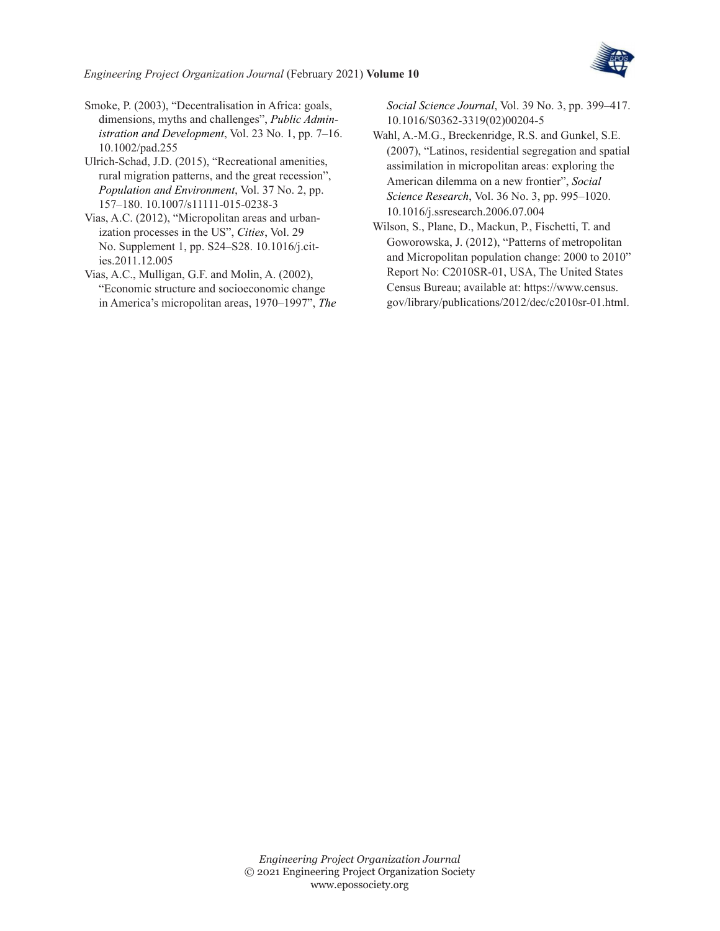

<span id="page-21-5"></span>Smoke, P. (2003), "Decentralisation in Africa: goals, dimensions, myths and challenges", *Public Administration and Development*, Vol. 23 No. 1, pp. 7–16. 10.1002/pad.255

<span id="page-21-4"></span>Ulrich-Schad, J.D. (2015), "Recreational amenities, rural migration patterns, and the great recession", *Population and Environment*, Vol. 37 No. 2, pp. 157–180. 10.1007/s11111-015-0238-3

- <span id="page-21-1"></span>Vias, A.C. (2012), "Micropolitan areas and urbanization processes in the US", *Cities*, Vol. 29 No. Supplement 1, pp. S24–S28. 10.1016/j.cities.2011.12.005
- <span id="page-21-3"></span>Vias, A.C., Mulligan, G.F. and Molin, A. (2002), "Economic structure and socioeconomic change in America's micropolitan areas, 1970–1997", *The*

*Social Science Journal*, Vol. 39 No. 3, pp. 399–417. 10.1016/S0362-3319(02)00204-5

- <span id="page-21-2"></span>Wahl, A.-M.G., Breckenridge, R.S. and Gunkel, S.E. (2007), "Latinos, residential segregation and spatial assimilation in micropolitan areas: exploring the American dilemma on a new frontier", *Social Science Research*, Vol. 36 No. 3, pp. 995–1020. 10.1016/j.ssresearch.2006.07.004
- <span id="page-21-0"></span>Wilson, S., Plane, D., Mackun, P., Fischetti, T. and Goworowska, J. (2012), "Patterns of metropolitan and Micropolitan population change: 2000 to 2010" Report No: C2010SR-01, USA, The United States Census Bureau; available at: [https://www.census.](https://www.census.gov/library/publications/2012/dec/c2010sr-01.html) [gov/library/publications/2012/dec/c2010sr-01.html.](https://www.census.gov/library/publications/2012/dec/c2010sr-01.html)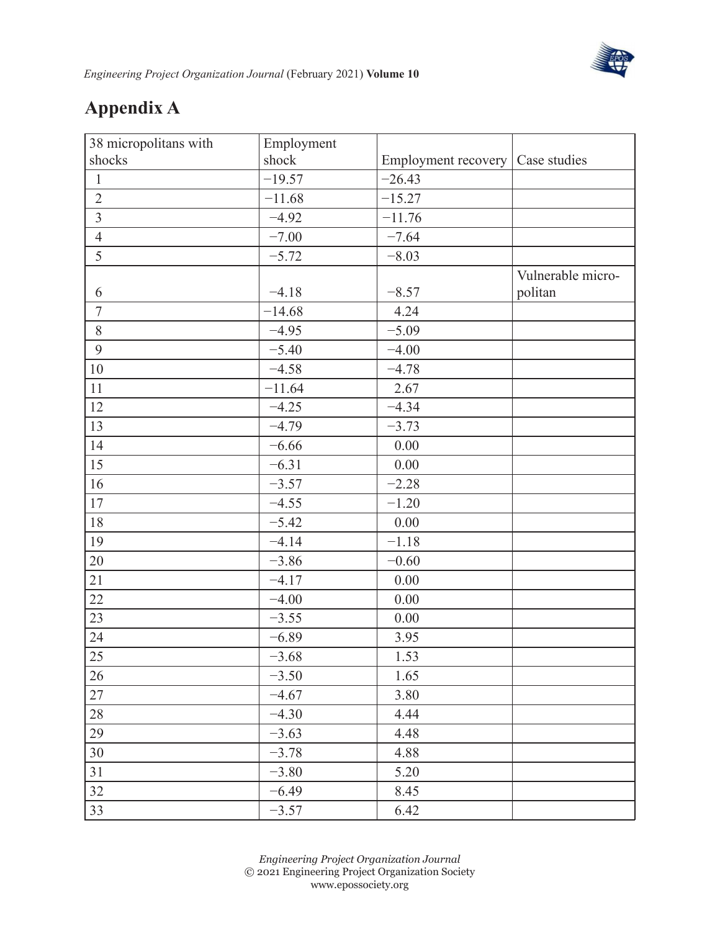

# **Appendix A**

| 38 micropolitans with | Employment |                                    |                   |
|-----------------------|------------|------------------------------------|-------------------|
| shocks                | shock      | Employment recovery   Case studies |                   |
| $\,1$                 | $-19.57$   | $-26.43$                           |                   |
| $\overline{2}$        | $-11.68$   | $-15.27$                           |                   |
| $\overline{3}$        | $-4.92$    | $-11.76$                           |                   |
| $\overline{4}$        | $-7.00$    | $-7.64$                            |                   |
| 5                     | $-5.72$    | $-8.03$                            |                   |
|                       |            |                                    | Vulnerable micro- |
| 6                     | $-4.18$    | $-8.57$                            | politan           |
| $\boldsymbol{7}$      | $-14.68$   | 4.24                               |                   |
| $8\,$                 | $-4.95$    | $-5.09$                            |                   |
| 9                     | $-5.40$    | $-4.00$                            |                   |
| $10\,$                | $-4.58$    | $-4.78$                            |                   |
| 11                    | $-11.64$   | 2.67                               |                   |
| 12                    | $-4.25$    | $-4.34$                            |                   |
| 13                    | $-4.79$    | $-3.73$                            |                   |
| 14                    | $-6.66$    | 0.00                               |                   |
| 15                    | $-6.31$    | 0.00                               |                   |
| 16                    | $-3.57$    | $-2.28$                            |                   |
| 17                    | $-4.55$    | $-1.20$                            |                   |
| $18\,$                | $-5.42$    | 0.00                               |                   |
| 19                    | $-4.14$    | $-1.18$                            |                   |
| 20                    | $-3.86$    | $-0.60$                            |                   |
| 21                    | $-4.17$    | 0.00                               |                   |
| 22                    | $-4.00$    | 0.00                               |                   |
| 23                    | $-3.55$    | 0.00                               |                   |
| 24                    | $-6.89$    | 3.95                               |                   |
| 25                    | $-3.68$    | 1.53                               |                   |
| 26                    | $-3.50$    | 1.65                               |                   |
| 27                    | $-4.67$    | 3.80                               |                   |
| 28                    | $-4.30$    | 4.44                               |                   |
| 29                    | $-3.63$    | 4.48                               |                   |
| 30                    | $-3.78$    | 4.88                               |                   |
| 31                    | $-3.80$    | 5.20                               |                   |
| 32                    | $-6.49$    | 8.45                               |                   |
| 33                    | $-3.57$    | 6.42                               |                   |